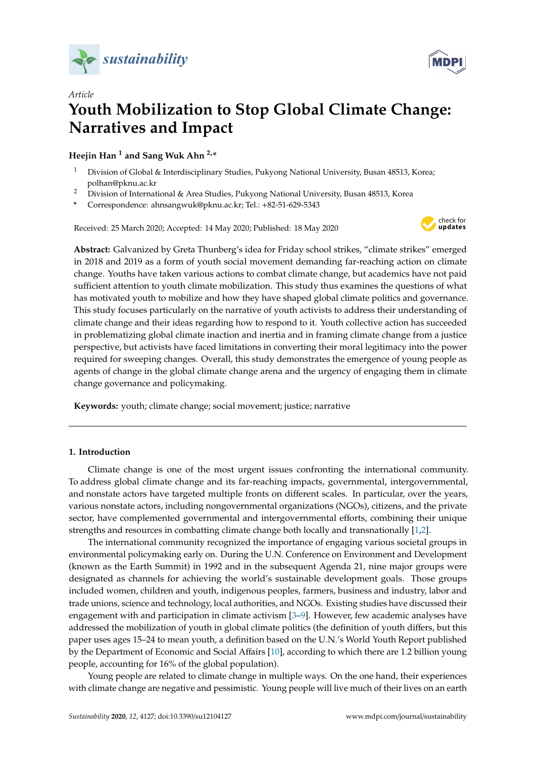



# *Article* **Youth Mobilization to Stop Global Climate Change: Narratives and Impact**

**Heejin Han <sup>1</sup> and Sang Wuk Ahn 2,\***

- <sup>1</sup> Division of Global & Interdisciplinary Studies, Pukyong National University, Busan 48513, Korea; polhan@pknu.ac.kr
- <sup>2</sup> Division of International & Area Studies, Pukyong National University, Busan 48513, Korea
- **\*** Correspondence: ahnsangwuk@pknu.ac.kr; Tel.: +82-51-629-5343

Received: 25 March 2020; Accepted: 14 May 2020; Published: 18 May 2020



**Abstract:** Galvanized by Greta Thunberg's idea for Friday school strikes, "climate strikes" emerged in 2018 and 2019 as a form of youth social movement demanding far-reaching action on climate change. Youths have taken various actions to combat climate change, but academics have not paid sufficient attention to youth climate mobilization. This study thus examines the questions of what has motivated youth to mobilize and how they have shaped global climate politics and governance. This study focuses particularly on the narrative of youth activists to address their understanding of climate change and their ideas regarding how to respond to it. Youth collective action has succeeded in problematizing global climate inaction and inertia and in framing climate change from a justice perspective, but activists have faced limitations in converting their moral legitimacy into the power required for sweeping changes. Overall, this study demonstrates the emergence of young people as agents of change in the global climate change arena and the urgency of engaging them in climate change governance and policymaking.

**Keywords:** youth; climate change; social movement; justice; narrative

# **1. Introduction**

Climate change is one of the most urgent issues confronting the international community. To address global climate change and its far-reaching impacts, governmental, intergovernmental, and nonstate actors have targeted multiple fronts on different scales. In particular, over the years, various nonstate actors, including nongovernmental organizations (NGOs), citizens, and the private sector, have complemented governmental and intergovernmental efforts, combining their unique strengths and resources in combatting climate change both locally and transnationally [\[1,](#page-17-0)[2\]](#page-17-1).

The international community recognized the importance of engaging various societal groups in environmental policymaking early on. During the U.N. Conference on Environment and Development (known as the Earth Summit) in 1992 and in the subsequent Agenda 21, nine major groups were designated as channels for achieving the world's sustainable development goals. Those groups included women, children and youth, indigenous peoples, farmers, business and industry, labor and trade unions, science and technology, local authorities, and NGOs. Existing studies have discussed their engagement with and participation in climate activism [\[3](#page-17-2)[–9\]](#page-17-3). However, few academic analyses have addressed the mobilization of youth in global climate politics (the definition of youth differs, but this paper uses ages 15–24 to mean youth, a definition based on the U.N.'s World Youth Report published by the Department of Economic and Social Affairs [\[10\]](#page-17-4), according to which there are 1.2 billion young people, accounting for 16% of the global population).

Young people are related to climate change in multiple ways. On the one hand, their experiences with climate change are negative and pessimistic. Young people will live much of their lives on an earth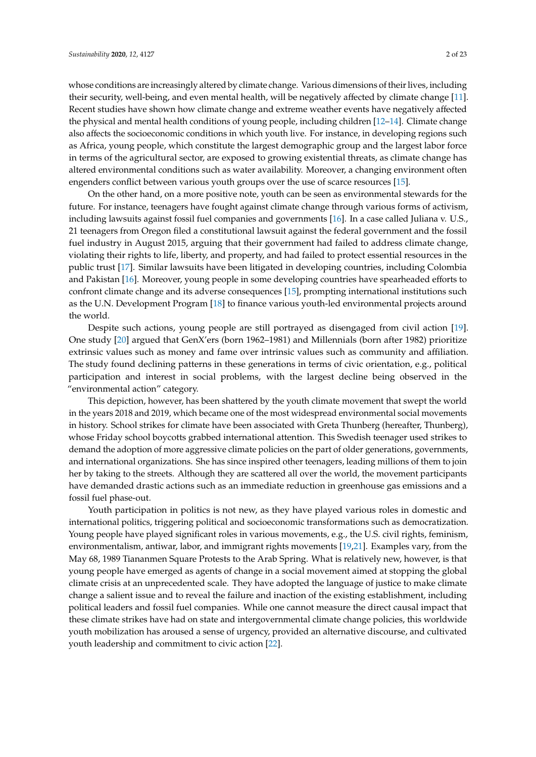whose conditions are increasingly altered by climate change. Various dimensions of their lives, including their security, well-being, and even mental health, will be negatively affected by climate change [\[11\]](#page-18-0). Recent studies have shown how climate change and extreme weather events have negatively affected the physical and mental health conditions of young people, including children [\[12–](#page-18-1)[14\]](#page-18-2). Climate change also affects the socioeconomic conditions in which youth live. For instance, in developing regions such as Africa, young people, which constitute the largest demographic group and the largest labor force in terms of the agricultural sector, are exposed to growing existential threats, as climate change has altered environmental conditions such as water availability. Moreover, a changing environment often engenders conflict between various youth groups over the use of scarce resources [\[15\]](#page-18-3).

On the other hand, on a more positive note, youth can be seen as environmental stewards for the future. For instance, teenagers have fought against climate change through various forms of activism, including lawsuits against fossil fuel companies and governments [\[16\]](#page-18-4). In a case called Juliana v. U.S., 21 teenagers from Oregon filed a constitutional lawsuit against the federal government and the fossil fuel industry in August 2015, arguing that their government had failed to address climate change, violating their rights to life, liberty, and property, and had failed to protect essential resources in the public trust [\[17\]](#page-18-5). Similar lawsuits have been litigated in developing countries, including Colombia and Pakistan [\[16\]](#page-18-4). Moreover, young people in some developing countries have spearheaded efforts to confront climate change and its adverse consequences [\[15\]](#page-18-3), prompting international institutions such as the U.N. Development Program [\[18\]](#page-18-6) to finance various youth-led environmental projects around the world.

Despite such actions, young people are still portrayed as disengaged from civil action [\[19\]](#page-18-7). One study [\[20\]](#page-18-8) argued that GenX'ers (born 1962–1981) and Millennials (born after 1982) prioritize extrinsic values such as money and fame over intrinsic values such as community and affiliation. The study found declining patterns in these generations in terms of civic orientation, e.g., political participation and interest in social problems, with the largest decline being observed in the "environmental action" category.

This depiction, however, has been shattered by the youth climate movement that swept the world in the years 2018 and 2019, which became one of the most widespread environmental social movements in history. School strikes for climate have been associated with Greta Thunberg (hereafter, Thunberg), whose Friday school boycotts grabbed international attention. This Swedish teenager used strikes to demand the adoption of more aggressive climate policies on the part of older generations, governments, and international organizations. She has since inspired other teenagers, leading millions of them to join her by taking to the streets. Although they are scattered all over the world, the movement participants have demanded drastic actions such as an immediate reduction in greenhouse gas emissions and a fossil fuel phase-out.

Youth participation in politics is not new, as they have played various roles in domestic and international politics, triggering political and socioeconomic transformations such as democratization. Young people have played significant roles in various movements, e.g., the U.S. civil rights, feminism, environmentalism, antiwar, labor, and immigrant rights movements [\[19](#page-18-7)[,21\]](#page-18-9). Examples vary, from the May 68, 1989 Tiananmen Square Protests to the Arab Spring. What is relatively new, however, is that young people have emerged as agents of change in a social movement aimed at stopping the global climate crisis at an unprecedented scale. They have adopted the language of justice to make climate change a salient issue and to reveal the failure and inaction of the existing establishment, including political leaders and fossil fuel companies. While one cannot measure the direct causal impact that these climate strikes have had on state and intergovernmental climate change policies, this worldwide youth mobilization has aroused a sense of urgency, provided an alternative discourse, and cultivated youth leadership and commitment to civic action [\[22\]](#page-18-10).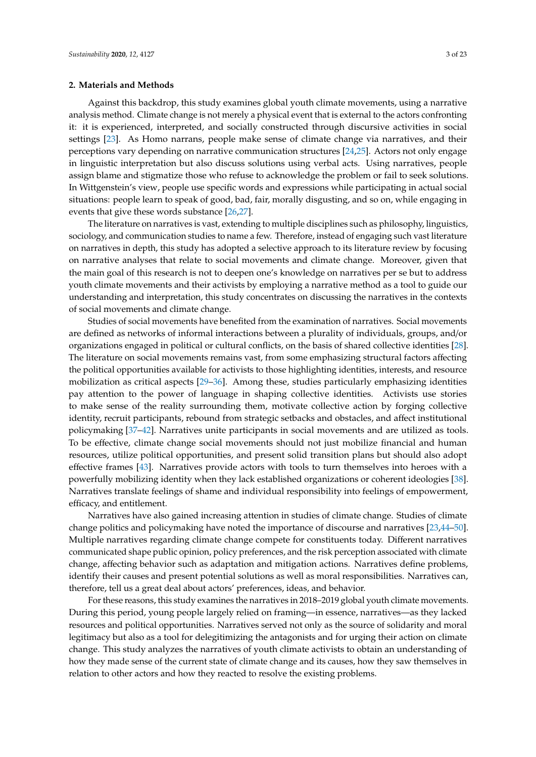#### **2. Materials and Methods**

Against this backdrop, this study examines global youth climate movements, using a narrative analysis method. Climate change is not merely a physical event that is external to the actors confronting it: it is experienced, interpreted, and socially constructed through discursive activities in social settings [\[23\]](#page-18-11). As Homo narrans, people make sense of climate change via narratives, and their perceptions vary depending on narrative communication structures [\[24,](#page-18-12)[25\]](#page-18-13). Actors not only engage in linguistic interpretation but also discuss solutions using verbal acts. Using narratives, people assign blame and stigmatize those who refuse to acknowledge the problem or fail to seek solutions. In Wittgenstein's view, people use specific words and expressions while participating in actual social situations: people learn to speak of good, bad, fair, morally disgusting, and so on, while engaging in events that give these words substance [\[26,](#page-18-14)[27\]](#page-18-15).

The literature on narratives is vast, extending to multiple disciplines such as philosophy, linguistics, sociology, and communication studies to name a few. Therefore, instead of engaging such vast literature on narratives in depth, this study has adopted a selective approach to its literature review by focusing on narrative analyses that relate to social movements and climate change. Moreover, given that the main goal of this research is not to deepen one's knowledge on narratives per se but to address youth climate movements and their activists by employing a narrative method as a tool to guide our understanding and interpretation, this study concentrates on discussing the narratives in the contexts of social movements and climate change.

Studies of social movements have benefited from the examination of narratives. Social movements are defined as networks of informal interactions between a plurality of individuals, groups, and/or organizations engaged in political or cultural conflicts, on the basis of shared collective identities [\[28\]](#page-18-16). The literature on social movements remains vast, from some emphasizing structural factors affecting the political opportunities available for activists to those highlighting identities, interests, and resource mobilization as critical aspects [\[29–](#page-18-17)[36\]](#page-19-0). Among these, studies particularly emphasizing identities pay attention to the power of language in shaping collective identities. Activists use stories to make sense of the reality surrounding them, motivate collective action by forging collective identity, recruit participants, rebound from strategic setbacks and obstacles, and affect institutional policymaking [\[37–](#page-19-1)[42\]](#page-19-2). Narratives unite participants in social movements and are utilized as tools. To be effective, climate change social movements should not just mobilize financial and human resources, utilize political opportunities, and present solid transition plans but should also adopt effective frames [\[43\]](#page-19-3). Narratives provide actors with tools to turn themselves into heroes with a powerfully mobilizing identity when they lack established organizations or coherent ideologies [\[38\]](#page-19-4). Narratives translate feelings of shame and individual responsibility into feelings of empowerment, efficacy, and entitlement.

Narratives have also gained increasing attention in studies of climate change. Studies of climate change politics and policymaking have noted the importance of discourse and narratives [\[23,](#page-18-11)[44–](#page-19-5)[50\]](#page-19-6). Multiple narratives regarding climate change compete for constituents today. Different narratives communicated shape public opinion, policy preferences, and the risk perception associated with climate change, affecting behavior such as adaptation and mitigation actions. Narratives define problems, identify their causes and present potential solutions as well as moral responsibilities. Narratives can, therefore, tell us a great deal about actors' preferences, ideas, and behavior.

For these reasons, this study examines the narratives in 2018–2019 global youth climate movements. During this period, young people largely relied on framing—in essence, narratives—as they lacked resources and political opportunities. Narratives served not only as the source of solidarity and moral legitimacy but also as a tool for delegitimizing the antagonists and for urging their action on climate change. This study analyzes the narratives of youth climate activists to obtain an understanding of how they made sense of the current state of climate change and its causes, how they saw themselves in relation to other actors and how they reacted to resolve the existing problems.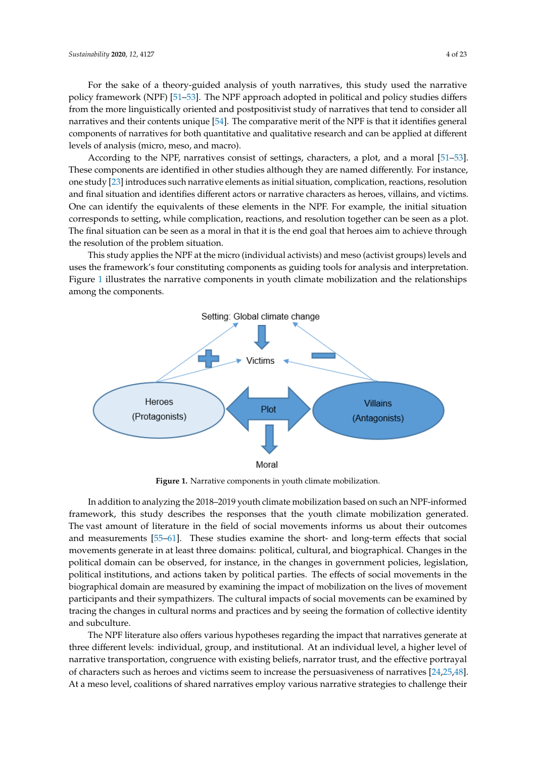For the sake of a theory-guided analysis of youth narratives, this study used the narrative policy framework (NPF) [\[51](#page-19-7)[–53\]](#page-19-8). The NPF approach adopted in political and policy studies differs *from the more linguistically oriented and postpositivist study of narratives that tend to consider all* narratives and their contents unique [\[54\]](#page-19-9). The comparative merit of the NPF is that it identifies general  $\overline{\phantom{a}}$ components of narratives for both quantitative and qualitative research and can be applied at different<br>levels of analysis (micro, meso, and macro).

According to the NPF, narratives consist of settings, characters, a plot, and a moral  $[51–53]$  $[51–53]$ . These components are identified in other studies although they are named differently. For instance, one study [\[23\]](#page-18-11) introduces such narrative elements as initial situation, complication, reactions, resolution and final situation and identifies different actors or narrative characters as heroes, villains, and victims. One can identify the equivalents of these elements in the NPF. For example, the initial situation corresponds to setting, while complication, reactions, and resolution together can be seen as a plot. The final situation can be seen as a moral in that it is the end goal that heroes aim to achieve through the resolution of the problem situation.

This study applies the NPF at the micro (individual activists) and meso (activist groups) levels and uses the framework's four constituting components as guiding tools for analysis and interpretation. Figure 1 illustrates the narrative comp[on](#page-3-0)ents in youth climate mobilization and the relationships among the components.

<span id="page-3-0"></span>

**Figure 1.** Narrative components in youth climate mobilization.

framework, this study describes the responses that the youth climate mobilization generated. The vast amount of literature in the field of social movements informs us about their outcomes and measurements [\[55](#page-19-10)[–61\]](#page-19-11). These studies examine the short- and long-term effects that social movements generate in at least three domains: political, cultural, and biographical. Changes in the political domain can be observed, for instance, in the changes in government policies, legislation, political institutions, and actions taken by political parties. The effects of social movements in the biographical domain are measured by examining the impact of mobilization on the lives of movement participants and their sympathizers. The cultural impacts of social movements can be examined by tracing the changes in cultural norms and practices and by seeing the formation of collective identity can be examined by tracing the changes in cultural norms and practices and practices and properties and properties and properties and properties and properties and properties and properties and by seeing the formation of In addition to analyzing the 2018–2019 youth climate mobilization based on such an NPF-informed and subculture.

The NPF literature also offers various hypotheses regarding the impact that narratives generate at three different levels: individual, group, and institutional. At an individual level, a higher level of narrative transportation, congruence with existing beliefs, narrator trust, and the effective portrayal of characters such as heroes and victims seem to increase the persuasiveness of narratives  $[24,25,48]$  $[24,25,48]$  $[24,25,48]$ . At a meso level, coalitions of shared narratives employ various narrative strategies to challenge their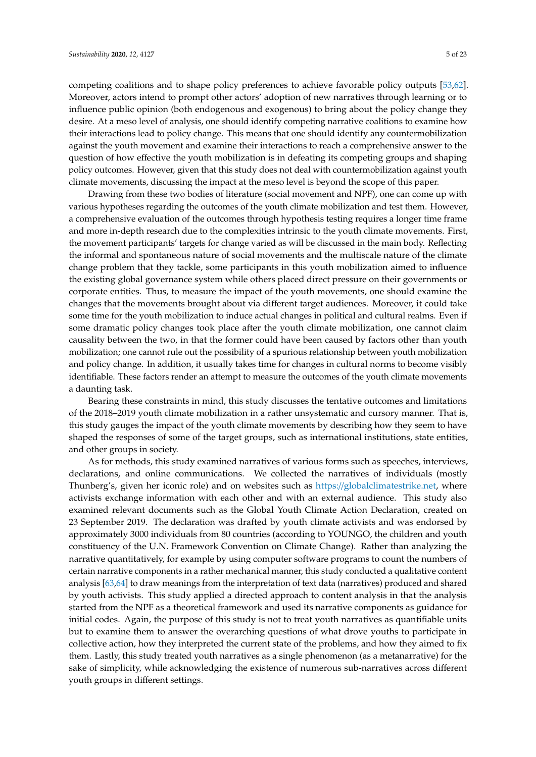competing coalitions and to shape policy preferences to achieve favorable policy outputs [\[53,](#page-19-8)[62\]](#page-20-0). Moreover, actors intend to prompt other actors' adoption of new narratives through learning or to influence public opinion (both endogenous and exogenous) to bring about the policy change they desire. At a meso level of analysis, one should identify competing narrative coalitions to examine how their interactions lead to policy change. This means that one should identify any countermobilization against the youth movement and examine their interactions to reach a comprehensive answer to the question of how effective the youth mobilization is in defeating its competing groups and shaping policy outcomes. However, given that this study does not deal with countermobilization against youth climate movements, discussing the impact at the meso level is beyond the scope of this paper.

Drawing from these two bodies of literature (social movement and NPF), one can come up with various hypotheses regarding the outcomes of the youth climate mobilization and test them. However, a comprehensive evaluation of the outcomes through hypothesis testing requires a longer time frame and more in-depth research due to the complexities intrinsic to the youth climate movements. First, the movement participants' targets for change varied as will be discussed in the main body. Reflecting the informal and spontaneous nature of social movements and the multiscale nature of the climate change problem that they tackle, some participants in this youth mobilization aimed to influence the existing global governance system while others placed direct pressure on their governments or corporate entities. Thus, to measure the impact of the youth movements, one should examine the changes that the movements brought about via different target audiences. Moreover, it could take some time for the youth mobilization to induce actual changes in political and cultural realms. Even if some dramatic policy changes took place after the youth climate mobilization, one cannot claim causality between the two, in that the former could have been caused by factors other than youth mobilization; one cannot rule out the possibility of a spurious relationship between youth mobilization and policy change. In addition, it usually takes time for changes in cultural norms to become visibly identifiable. These factors render an attempt to measure the outcomes of the youth climate movements a daunting task.

Bearing these constraints in mind, this study discusses the tentative outcomes and limitations of the 2018–2019 youth climate mobilization in a rather unsystematic and cursory manner. That is, this study gauges the impact of the youth climate movements by describing how they seem to have shaped the responses of some of the target groups, such as international institutions, state entities, and other groups in society.

As for methods, this study examined narratives of various forms such as speeches, interviews, declarations, and online communications. We collected the narratives of individuals (mostly Thunberg's, given her iconic role) and on websites such as https://[globalclimatestrike.net,](https://globalclimatestrike.net) where activists exchange information with each other and with an external audience. This study also examined relevant documents such as the Global Youth Climate Action Declaration, created on 23 September 2019. The declaration was drafted by youth climate activists and was endorsed by approximately 3000 individuals from 80 countries (according to YOUNGO, the children and youth constituency of the U.N. Framework Convention on Climate Change). Rather than analyzing the narrative quantitatively, for example by using computer software programs to count the numbers of certain narrative components in a rather mechanical manner, this study conducted a qualitative content analysis [\[63,](#page-20-1)[64\]](#page-20-2) to draw meanings from the interpretation of text data (narratives) produced and shared by youth activists. This study applied a directed approach to content analysis in that the analysis started from the NPF as a theoretical framework and used its narrative components as guidance for initial codes. Again, the purpose of this study is not to treat youth narratives as quantifiable units but to examine them to answer the overarching questions of what drove youths to participate in collective action, how they interpreted the current state of the problems, and how they aimed to fix them. Lastly, this study treated youth narratives as a single phenomenon (as a metanarrative) for the sake of simplicity, while acknowledging the existence of numerous sub-narratives across different youth groups in different settings.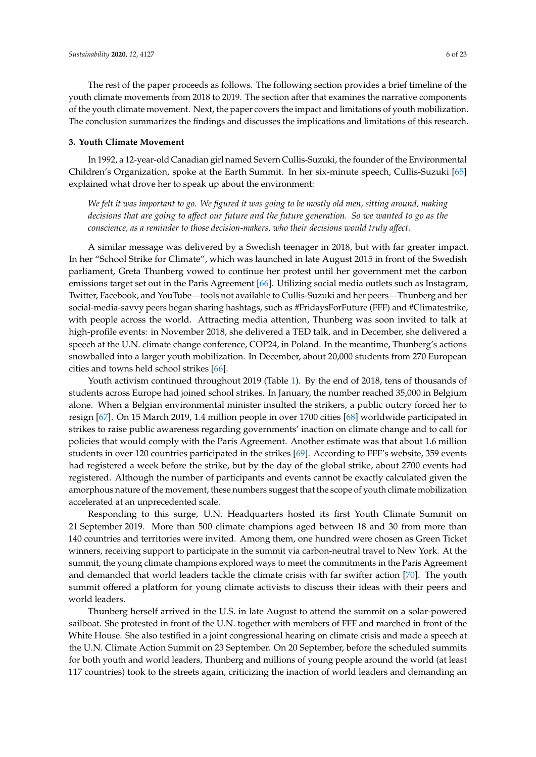The rest of the paper proceeds as follows. The following section provides a brief timeline of the youth climate movements from 2018 to 2019. The section after that examines the narrative components of the youth climate movement. Next, the paper covers the impact and limitations of youth mobilization. The conclusion summarizes the findings and discusses the implications and limitations of this research.

## **3. Youth Climate Movement**

In 1992, a 12-year-old Canadian girl named Severn Cullis-Suzuki, the founder of the Environmental Children's Organization, spoke at the Earth Summit. In her six-minute speech, Cullis-Suzuki [\[65\]](#page-20-3) explained what drove her to speak up about the environment:

*We felt it was important to go. We figured it was going to be mostly old men, sitting around, making decisions that are going to a*ff*ect our future and the future generation. So we wanted to go as the conscience, as a reminder to those decision-makers, who their decisions would truly a*ff*ect.*

A similar message was delivered by a Swedish teenager in 2018, but with far greater impact. In her "School Strike for Climate", which was launched in late August 2015 in front of the Swedish parliament, Greta Thunberg vowed to continue her protest until her government met the carbon emissions target set out in the Paris Agreement [\[66\]](#page-20-4). Utilizing social media outlets such as Instagram, Twitter, Facebook, and YouTube—tools not available to Cullis-Suzuki and her peers—Thunberg and her social-media-savvy peers began sharing hashtags, such as #FridaysForFuture (FFF) and #Climatestrike, with people across the world. Attracting media attention, Thunberg was soon invited to talk at high-profile events: in November 2018, she delivered a TED talk, and in December, she delivered a speech at the U.N. climate change conference, COP24, in Poland. In the meantime, Thunberg's actions snowballed into a larger youth mobilization. In December, about 20,000 students from 270 European cities and towns held school strikes [\[66\]](#page-20-4).

Youth activism continued throughout 2019 (Table [1\)](#page-7-0). By the end of 2018, tens of thousands of students across Europe had joined school strikes. In January, the number reached 35,000 in Belgium alone. When a Belgian environmental minister insulted the strikers, a public outcry forced her to resign [\[67\]](#page-20-5). On 15 March 2019, 1.4 million people in over 1700 cities [\[68\]](#page-20-6) worldwide participated in strikes to raise public awareness regarding governments' inaction on climate change and to call for policies that would comply with the Paris Agreement. Another estimate was that about 1.6 million students in over 120 countries participated in the strikes [\[69\]](#page-20-7). According to FFF's website, 359 events had registered a week before the strike, but by the day of the global strike, about 2700 events had registered. Although the number of participants and events cannot be exactly calculated given the amorphous nature of the movement, these numbers suggest that the scope of youth climate mobilization accelerated at an unprecedented scale.

Responding to this surge, U.N. Headquarters hosted its first Youth Climate Summit on 21 September 2019. More than 500 climate champions aged between 18 and 30 from more than 140 countries and territories were invited. Among them, one hundred were chosen as Green Ticket winners, receiving support to participate in the summit via carbon-neutral travel to New York. At the summit, the young climate champions explored ways to meet the commitments in the Paris Agreement and demanded that world leaders tackle the climate crisis with far swifter action [\[70\]](#page-20-8). The youth summit offered a platform for young climate activists to discuss their ideas with their peers and world leaders.

Thunberg herself arrived in the U.S. in late August to attend the summit on a solar-powered sailboat. She protested in front of the U.N. together with members of FFF and marched in front of the White House. She also testified in a joint congressional hearing on climate crisis and made a speech at the U.N. Climate Action Summit on 23 September. On 20 September, before the scheduled summits for both youth and world leaders, Thunberg and millions of young people around the world (at least 117 countries) took to the streets again, criticizing the inaction of world leaders and demanding an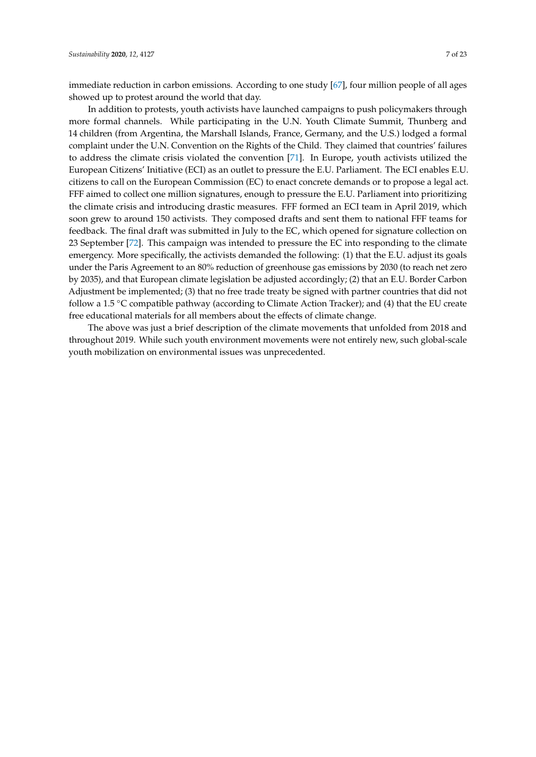immediate reduction in carbon emissions. According to one study [\[67\]](#page-20-5), four million people of all ages showed up to protest around the world that day.

In addition to protests, youth activists have launched campaigns to push policymakers through more formal channels. While participating in the U.N. Youth Climate Summit, Thunberg and 14 children (from Argentina, the Marshall Islands, France, Germany, and the U.S.) lodged a formal complaint under the U.N. Convention on the Rights of the Child. They claimed that countries' failures to address the climate crisis violated the convention [\[71\]](#page-20-9). In Europe, youth activists utilized the European Citizens' Initiative (ECI) as an outlet to pressure the E.U. Parliament. The ECI enables E.U. citizens to call on the European Commission (EC) to enact concrete demands or to propose a legal act. FFF aimed to collect one million signatures, enough to pressure the E.U. Parliament into prioritizing the climate crisis and introducing drastic measures. FFF formed an ECI team in April 2019, which soon grew to around 150 activists. They composed drafts and sent them to national FFF teams for feedback. The final draft was submitted in July to the EC, which opened for signature collection on 23 September [\[72\]](#page-20-10). This campaign was intended to pressure the EC into responding to the climate emergency. More specifically, the activists demanded the following: (1) that the E.U. adjust its goals under the Paris Agreement to an 80% reduction of greenhouse gas emissions by 2030 (to reach net zero by 2035), and that European climate legislation be adjusted accordingly; (2) that an E.U. Border Carbon Adjustment be implemented; (3) that no free trade treaty be signed with partner countries that did not follow a 1.5 ◦C compatible pathway (according to Climate Action Tracker); and (4) that the EU create free educational materials for all members about the effects of climate change.

The above was just a brief description of the climate movements that unfolded from 2018 and throughout 2019. While such youth environment movements were not entirely new, such global-scale youth mobilization on environmental issues was unprecedented.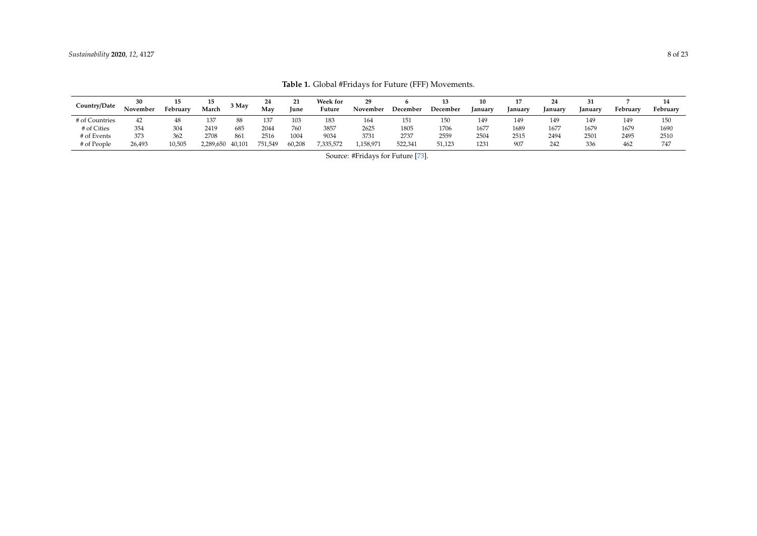<span id="page-7-0"></span>

| Country/Date   | 30       | 15       | 15        | 3 May  | 24      | 21     | <b>Week for</b> | 29       |          |          | 10      |        |         |         |          | 14       |
|----------------|----------|----------|-----------|--------|---------|--------|-----------------|----------|----------|----------|---------|--------|---------|---------|----------|----------|
|                | November | February | March     |        | May     | June   | Future          | November | December | December | January | anuary | January | January | February | February |
| # of Countries | 42       | 48       | 137       | 88     | 137     | 103    | 183             | 164      | 151      | 150      | 149     | 149    | 149     | 149     | 149      | 150      |
| # of Cities    | 354      | 304      | 2419      | 685    | 2044    | 760    | 3857            | 2625     | 1805     | 1706     | 1677    | 1689   | 1677    | 1679    | 1679     | 1690     |
| # of Events    | 373      | 362      | 2708      | 861    | 2516    | 1004   | 9034            | 3731     | 2737     | 2559     | 2504    | 2515   | 2494    | 2501    | 2495     | 2510     |
| # of People    | 26,493   | 10,505   | 2,289,650 | 40,101 | 751,549 | 60,208 | 7,335,572       | .158,97  | 522,341  | 51,123   | 1231    | 907    | 242     | 336     | 462      | 747      |

**Table 1.** Global #Fridays for Future (FFF) Movements.

Source: #Fridays for Future [\[73\]](#page-20-11).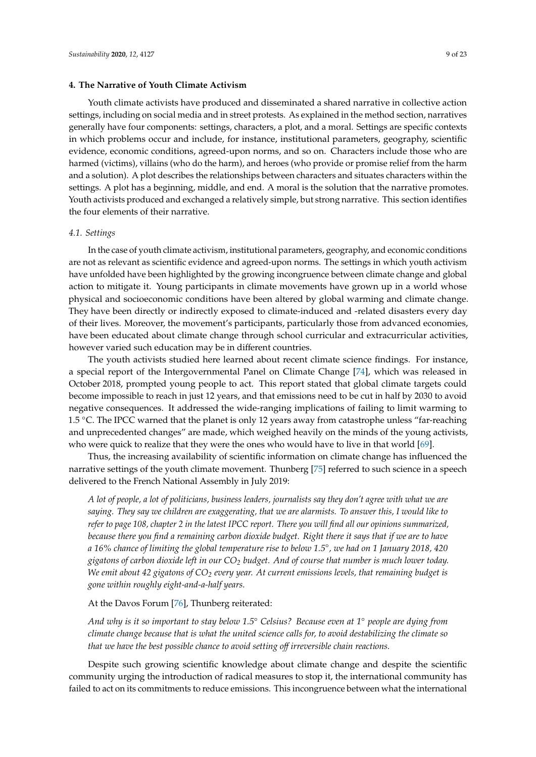#### **4. The Narrative of Youth Climate Activism**

Youth climate activists have produced and disseminated a shared narrative in collective action settings, including on social media and in street protests. As explained in the method section, narratives generally have four components: settings, characters, a plot, and a moral. Settings are specific contexts in which problems occur and include, for instance, institutional parameters, geography, scientific evidence, economic conditions, agreed-upon norms, and so on. Characters include those who are harmed (victims), villains (who do the harm), and heroes (who provide or promise relief from the harm and a solution). A plot describes the relationships between characters and situates characters within the settings. A plot has a beginning, middle, and end. A moral is the solution that the narrative promotes. Youth activists produced and exchanged a relatively simple, but strong narrative. This section identifies the four elements of their narrative.

## *4.1. Settings*

In the case of youth climate activism, institutional parameters, geography, and economic conditions are not as relevant as scientific evidence and agreed-upon norms. The settings in which youth activism have unfolded have been highlighted by the growing incongruence between climate change and global action to mitigate it. Young participants in climate movements have grown up in a world whose physical and socioeconomic conditions have been altered by global warming and climate change. They have been directly or indirectly exposed to climate-induced and -related disasters every day of their lives. Moreover, the movement's participants, particularly those from advanced economies, have been educated about climate change through school curricular and extracurricular activities, however varied such education may be in different countries.

The youth activists studied here learned about recent climate science findings. For instance, a special report of the Intergovernmental Panel on Climate Change [\[74\]](#page-20-12), which was released in October 2018, prompted young people to act. This report stated that global climate targets could become impossible to reach in just 12 years, and that emissions need to be cut in half by 2030 to avoid negative consequences. It addressed the wide-ranging implications of failing to limit warming to 1.5 ◦C. The IPCC warned that the planet is only 12 years away from catastrophe unless "far-reaching and unprecedented changes" are made, which weighed heavily on the minds of the young activists, who were quick to realize that they were the ones who would have to live in that world [\[69\]](#page-20-7).

Thus, the increasing availability of scientific information on climate change has influenced the narrative settings of the youth climate movement. Thunberg [\[75\]](#page-20-13) referred to such science in a speech delivered to the French National Assembly in July 2019:

*A lot of people, a lot of politicians, business leaders, journalists say they don't agree with what we are saying. They say we children are exaggerating, that we are alarmists. To answer this, I would like to refer to page 108, chapter 2 in the latest IPCC report. There you will find all our opinions summarized, because there you find a remaining carbon dioxide budget. Right there it says that if we are to have a 16% chance of limiting the global temperature rise to below 1.5*◦ *, we had on 1 January 2018, 420 gigatons of carbon dioxide left in our CO<sup>2</sup> budget. And of course that number is much lower today. We emit about 42 gigatons of CO<sup>2</sup> every year. At current emissions levels, that remaining budget is gone within roughly eight-and-a-half years.*

At the Davos Forum [\[76\]](#page-20-14), Thunberg reiterated:

*And why is it so important to stay below 1.5*◦ *Celsius? Because even at 1*◦ *people are dying from climate change because that is what the united science calls for, to avoid destabilizing the climate so that we have the best possible chance to avoid setting o*ff *irreversible chain reactions.*

Despite such growing scientific knowledge about climate change and despite the scientific community urging the introduction of radical measures to stop it, the international community has failed to act on its commitments to reduce emissions. This incongruence between what the international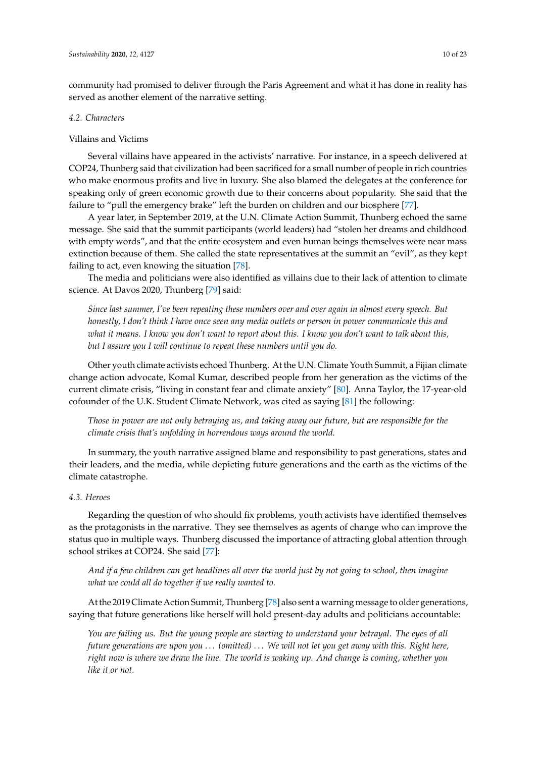community had promised to deliver through the Paris Agreement and what it has done in reality has served as another element of the narrative setting.

#### *4.2. Characters*

## Villains and Victims

Several villains have appeared in the activists' narrative. For instance, in a speech delivered at COP24, Thunberg said that civilization had been sacrificed for a small number of people in rich countries who make enormous profits and live in luxury. She also blamed the delegates at the conference for speaking only of green economic growth due to their concerns about popularity. She said that the failure to "pull the emergency brake" left the burden on children and our biosphere [\[77\]](#page-20-15).

A year later, in September 2019, at the U.N. Climate Action Summit, Thunberg echoed the same message. She said that the summit participants (world leaders) had "stolen her dreams and childhood with empty words", and that the entire ecosystem and even human beings themselves were near mass extinction because of them. She called the state representatives at the summit an "evil", as they kept failing to act, even knowing the situation [\[78\]](#page-20-16).

The media and politicians were also identified as villains due to their lack of attention to climate science. At Davos 2020, Thunberg [\[79\]](#page-20-17) said:

*Since last summer, I've been repeating these numbers over and over again in almost every speech. But honestly, I don't think I have once seen any media outlets or person in power communicate this and what it means. I know you don't want to report about this. I know you don't want to talk about this, but I assure you I will continue to repeat these numbers until you do.*

Other youth climate activists echoed Thunberg. At the U.N. Climate Youth Summit, a Fijian climate change action advocate, Komal Kumar, described people from her generation as the victims of the current climate crisis, "living in constant fear and climate anxiety" [\[80\]](#page-20-18). Anna Taylor, the 17-year-old cofounder of the U.K. Student Climate Network, was cited as saying [\[81\]](#page-20-19) the following:

*Those in power are not only betraying us, and taking away our future, but are responsible for the climate crisis that's unfolding in horrendous ways around the world.*

In summary, the youth narrative assigned blame and responsibility to past generations, states and their leaders, and the media, while depicting future generations and the earth as the victims of the climate catastrophe.

## *4.3. Heroes*

Regarding the question of who should fix problems, youth activists have identified themselves as the protagonists in the narrative. They see themselves as agents of change who can improve the status quo in multiple ways. Thunberg discussed the importance of attracting global attention through school strikes at COP24. She said [\[77\]](#page-20-15):

*And if a few children can get headlines all over the world just by not going to school, then imagine what we could all do together if we really wanted to.*

At the 2019 Climate Action Summit, Thunberg [\[78\]](#page-20-16) also sent a warning message to older generations, saying that future generations like herself will hold present-day adults and politicians accountable:

*You are failing us. But the young people are starting to understand your betrayal. The eyes of all future generations are upon you* . . . *(omitted)* . . . *We will not let you get away with this. Right here, right now is where we draw the line. The world is waking up. And change is coming, whether you like it or not.*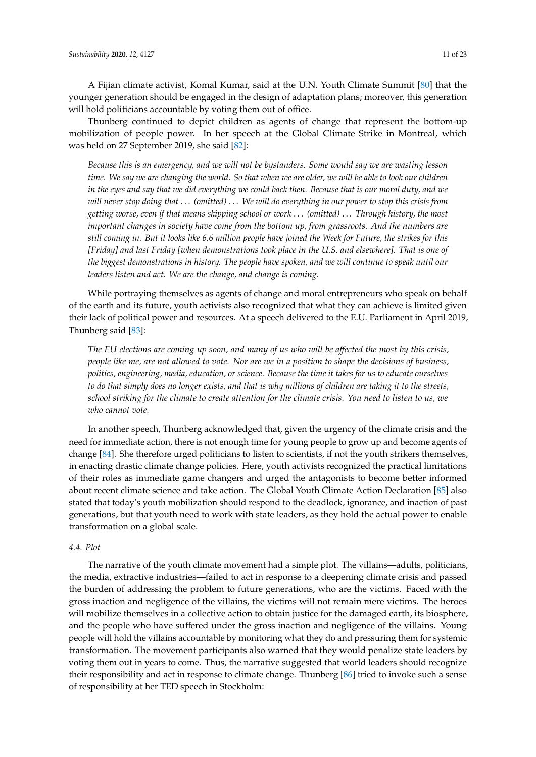A Fijian climate activist, Komal Kumar, said at the U.N. Youth Climate Summit [\[80\]](#page-20-18) that the younger generation should be engaged in the design of adaptation plans; moreover, this generation will hold politicians accountable by voting them out of office.

Thunberg continued to depict children as agents of change that represent the bottom-up mobilization of people power. In her speech at the Global Climate Strike in Montreal, which was held on 27 September 2019, she said [\[82\]](#page-20-20):

*Because this is an emergency, and we will not be bystanders. Some would say we are wasting lesson time. We say we are changing the world. So that when we are older, we will be able to look our children in the eyes and say that we did everything we could back then. Because that is our moral duty, and we will never stop doing that* . . . *(omitted)* . . . *We will do everything in our power to stop this crisis from getting worse, even if that means skipping school or work* . . . *(omitted)* . . . *Through history, the most important changes in society have come from the bottom up, from grassroots. And the numbers are still coming in. But it looks like 6.6 million people have joined the Week for Future, the strikes for this [Friday] and last Friday [when demonstrations took place in the U.S. and elsewhere]. That is one of the biggest demonstrations in history. The people have spoken, and we will continue to speak until our leaders listen and act. We are the change, and change is coming.*

While portraying themselves as agents of change and moral entrepreneurs who speak on behalf of the earth and its future, youth activists also recognized that what they can achieve is limited given their lack of political power and resources. At a speech delivered to the E.U. Parliament in April 2019, Thunberg said [\[83\]](#page-20-21):

*The EU elections are coming up soon, and many of us who will be a*ff*ected the most by this crisis, people like me, are not allowed to vote. Nor are we in a position to shape the decisions of business, politics, engineering, media, education, or science. Because the time it takes for us to educate ourselves to do that simply does no longer exists, and that is why millions of children are taking it to the streets, school striking for the climate to create attention for the climate crisis. You need to listen to us, we who cannot vote.*

In another speech, Thunberg acknowledged that, given the urgency of the climate crisis and the need for immediate action, there is not enough time for young people to grow up and become agents of change [\[84\]](#page-21-0). She therefore urged politicians to listen to scientists, if not the youth strikers themselves, in enacting drastic climate change policies. Here, youth activists recognized the practical limitations of their roles as immediate game changers and urged the antagonists to become better informed about recent climate science and take action. The Global Youth Climate Action Declaration [\[85\]](#page-21-1) also stated that today's youth mobilization should respond to the deadlock, ignorance, and inaction of past generations, but that youth need to work with state leaders, as they hold the actual power to enable transformation on a global scale.

## *4.4. Plot*

The narrative of the youth climate movement had a simple plot. The villains—adults, politicians, the media, extractive industries—failed to act in response to a deepening climate crisis and passed the burden of addressing the problem to future generations, who are the victims. Faced with the gross inaction and negligence of the villains, the victims will not remain mere victims. The heroes will mobilize themselves in a collective action to obtain justice for the damaged earth, its biosphere, and the people who have suffered under the gross inaction and negligence of the villains. Young people will hold the villains accountable by monitoring what they do and pressuring them for systemic transformation. The movement participants also warned that they would penalize state leaders by voting them out in years to come. Thus, the narrative suggested that world leaders should recognize their responsibility and act in response to climate change. Thunberg [\[86\]](#page-21-2) tried to invoke such a sense of responsibility at her TED speech in Stockholm: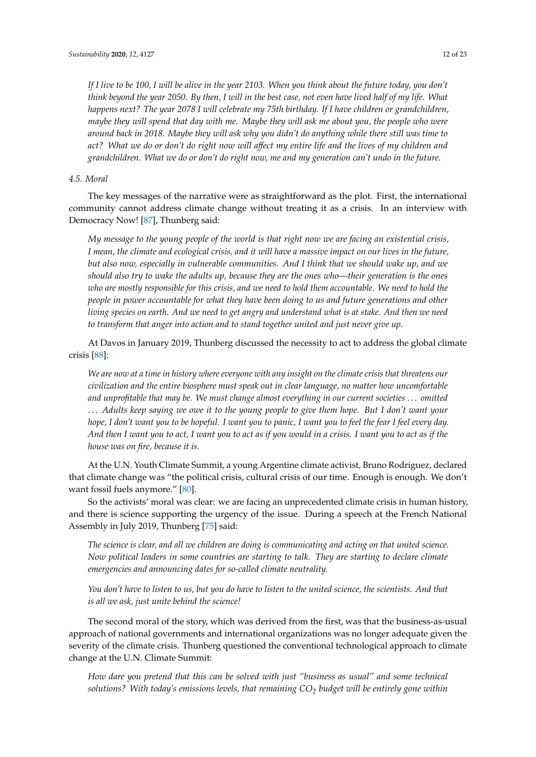*If I live to be 100, I will be alive in the year 2103. When you think about the future today, you don't think beyond the year 2050. By then, I will in the best case, not even have lived half of my life. What happens next? The year 2078 I will celebrate my 75th birthday. If I have children or grandchildren, maybe they will spend that day with me. Maybe they will ask me about you, the people who were around back in 2018. Maybe they will ask why you didn't do anything while there still was time to act? What we do or don't do right now will a*ff*ect my entire life and the lives of my children and grandchildren. What we do or don't do right now, me and my generation can't undo in the future.*

#### *4.5. Moral*

The key messages of the narrative were as straightforward as the plot. First, the international community cannot address climate change without treating it as a crisis. In an interview with Democracy Now! [\[87\]](#page-21-3), Thunberg said:

*My message to the young people of the world is that right now we are facing an existential crisis, I mean, the climate and ecological crisis, and it will have a massive impact on our lives in the future, but also now, especially in vulnerable communities. And I think that we should wake up, and we should also try to wake the adults up, because they are the ones who—their generation is the ones who are mostly responsible for this crisis, and we need to hold them accountable. We need to hold the people in power accountable for what they have been doing to us and future generations and other living species on earth. And we need to get angry and understand what is at stake. And then we need to transform that anger into action and to stand together united and just never give up.*

At Davos in January 2019, Thunberg discussed the necessity to act to address the global climate crisis [\[88\]](#page-21-4):

*We are now at a time in history where everyone with any insight on the climate crisis that threatens our civilization and the entire biosphere must speak out in clear language, no matter how uncomfortable and unprofitable that may be. We must change almost everything in our current societies* . . . *omitted* . . . *Adults keep saying we owe it to the young people to give them hope. But I don't want your hope, I don't want you to be hopeful. I want you to panic, I want you to feel the fear I feel every day. And then I want you to act, I want you to act as if you would in a crisis. I want you to act as if the house was on fire, because it is.*

At the U.N. Youth Climate Summit, a young Argentine climate activist, Bruno Rodriguez, declared that climate change was "the political crisis, cultural crisis of our time. Enough is enough. We don't want fossil fuels anymore." [\[80\]](#page-20-18).

So the activists' moral was clear: we are facing an unprecedented climate crisis in human history, and there is science supporting the urgency of the issue. During a speech at the French National Assembly in July 2019, Thunberg [\[75\]](#page-20-13) said:

*The science is clear, and all we children are doing is communicating and acting on that united science. Now political leaders in some countries are starting to talk. They are starting to declare climate emergencies and announcing dates for so-called climate neutrality.*

*You don't have to listen to us, but you do have to listen to the united science, the scientists. And that is all we ask, just unite behind the science!*

The second moral of the story, which was derived from the first, was that the business-as-usual approach of national governments and international organizations was no longer adequate given the severity of the climate crisis. Thunberg questioned the conventional technological approach to climate change at the U.N. Climate Summit:

*How dare you pretend that this can be solved with just "business as usual" and some technical solutions? With today's emissions levels, that remaining CO<sup>2</sup> budget will be entirely gone within*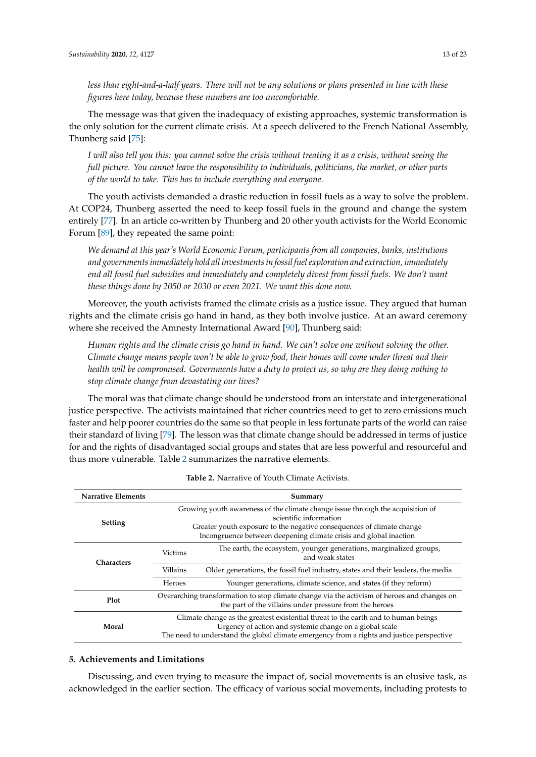The message was that given the inadequacy of existing approaches, systemic transformation is the only solution for the current climate crisis. At a speech delivered to the French National Assembly, Thunberg said [\[75\]](#page-20-13):

*I will also tell you this: you cannot solve the crisis without treating it as a crisis, without seeing the full picture. You cannot leave the responsibility to individuals, politicians, the market, or other parts of the world to take. This has to include everything and everyone.*

The youth activists demanded a drastic reduction in fossil fuels as a way to solve the problem. At COP24, Thunberg asserted the need to keep fossil fuels in the ground and change the system entirely [\[77\]](#page-20-15). In an article co-written by Thunberg and 20 other youth activists for the World Economic Forum [\[89\]](#page-21-5), they repeated the same point:

*We demand at this year's World Economic Forum, participants from all companies, banks, institutions and governments immediately hold all investments in fossil fuel exploration and extraction, immediately end all fossil fuel subsidies and immediately and completely divest from fossil fuels. We don't want these things done by 2050 or 2030 or even 2021. We want this done now.*

Moreover, the youth activists framed the climate crisis as a justice issue. They argued that human rights and the climate crisis go hand in hand, as they both involve justice. At an award ceremony where she received the Amnesty International Award [\[90\]](#page-21-6), Thunberg said:

*Human rights and the climate crisis go hand in hand. We can't solve one without solving the other. Climate change means people won't be able to grow food, their homes will come under threat and their health will be compromised. Governments have a duty to protect us, so why are they doing nothing to stop climate change from devastating our lives?*

The moral was that climate change should be understood from an interstate and intergenerational justice perspective. The activists maintained that richer countries need to get to zero emissions much faster and help poorer countries do the same so that people in less fortunate parts of the world can raise their standard of living [\[79\]](#page-20-17). The lesson was that climate change should be addressed in terms of justice for and the rights of disadvantaged social groups and states that are less powerful and resourceful and thus more vulnerable. Table [2](#page-12-0) summarizes the narrative elements.

<span id="page-12-0"></span>

| <b>Narrative Elements</b> | Summary                                                                                                                                                                                                                                                |                                                                                        |  |  |  |  |  |  |
|---------------------------|--------------------------------------------------------------------------------------------------------------------------------------------------------------------------------------------------------------------------------------------------------|----------------------------------------------------------------------------------------|--|--|--|--|--|--|
| <b>Setting</b>            | Growing youth awareness of the climate change issue through the acquisition of<br>scientific information<br>Greater youth exposure to the negative consequences of climate change<br>Incongruence between deepening climate crisis and global inaction |                                                                                        |  |  |  |  |  |  |
| <b>Characters</b>         | <b>Victims</b>                                                                                                                                                                                                                                         | The earth, the ecosystem, younger generations, marginalized groups,<br>and weak states |  |  |  |  |  |  |
|                           | Villains                                                                                                                                                                                                                                               | Older generations, the fossil fuel industry, states and their leaders, the media       |  |  |  |  |  |  |
|                           | Heroes                                                                                                                                                                                                                                                 | Younger generations, climate science, and states (if they reform)                      |  |  |  |  |  |  |
| Plot                      | Overarching transformation to stop climate change via the activism of heroes and changes on<br>the part of the villains under pressure from the heroes                                                                                                 |                                                                                        |  |  |  |  |  |  |
| Moral                     | Climate change as the greatest existential threat to the earth and to human beings<br>Urgency of action and systemic change on a global scale<br>The need to understand the global climate emergency from a rights and justice perspective             |                                                                                        |  |  |  |  |  |  |

#### **5. Achievements and Limitations**

Discussing, and even trying to measure the impact of, social movements is an elusive task, as acknowledged in the earlier section. The efficacy of various social movements, including protests to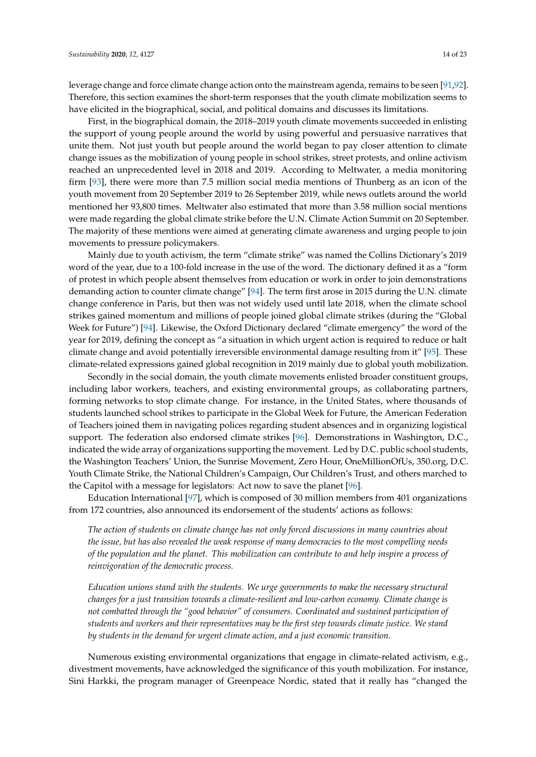leverage change and force climate change action onto the mainstream agenda, remains to be seen [\[91](#page-21-7)[,92\]](#page-21-8). Therefore, this section examines the short-term responses that the youth climate mobilization seems to have elicited in the biographical, social, and political domains and discusses its limitations.

First, in the biographical domain, the 2018–2019 youth climate movements succeeded in enlisting the support of young people around the world by using powerful and persuasive narratives that unite them. Not just youth but people around the world began to pay closer attention to climate change issues as the mobilization of young people in school strikes, street protests, and online activism reached an unprecedented level in 2018 and 2019. According to Meltwater, a media monitoring firm [\[93\]](#page-21-9), there were more than 7.5 million social media mentions of Thunberg as an icon of the youth movement from 20 September 2019 to 26 September 2019, while news outlets around the world mentioned her 93,800 times. Meltwater also estimated that more than 3.58 million social mentions were made regarding the global climate strike before the U.N. Climate Action Summit on 20 September. The majority of these mentions were aimed at generating climate awareness and urging people to join movements to pressure policymakers.

Mainly due to youth activism, the term "climate strike" was named the Collins Dictionary's 2019 word of the year, due to a 100-fold increase in the use of the word. The dictionary defined it as a "form of protest in which people absent themselves from education or work in order to join demonstrations demanding action to counter climate change" [\[94\]](#page-21-10). The term first arose in 2015 during the U.N. climate change conference in Paris, but then was not widely used until late 2018, when the climate school strikes gained momentum and millions of people joined global climate strikes (during the "Global Week for Future") [\[94\]](#page-21-10). Likewise, the Oxford Dictionary declared "climate emergency" the word of the year for 2019, defining the concept as "a situation in which urgent action is required to reduce or halt climate change and avoid potentially irreversible environmental damage resulting from it" [\[95\]](#page-21-11). These climate-related expressions gained global recognition in 2019 mainly due to global youth mobilization.

Secondly in the social domain, the youth climate movements enlisted broader constituent groups, including labor workers, teachers, and existing environmental groups, as collaborating partners, forming networks to stop climate change. For instance, in the United States, where thousands of students launched school strikes to participate in the Global Week for Future, the American Federation of Teachers joined them in navigating polices regarding student absences and in organizing logistical support. The federation also endorsed climate strikes [\[96\]](#page-21-12). Demonstrations in Washington, D.C., indicated the wide array of organizations supporting the movement. Led by D.C. public school students, the Washington Teachers' Union, the Sunrise Movement, Zero Hour, OneMillionOfUs, 350.org, D.C. Youth Climate Strike, the National Children's Campaign, Our Children's Trust, and others marched to the Capitol with a message for legislators: Act now to save the planet [\[96\]](#page-21-12).

Education International [\[97\]](#page-21-13), which is composed of 30 million members from 401 organizations from 172 countries, also announced its endorsement of the students' actions as follows:

*The action of students on climate change has not only forced discussions in many countries about the issue, but has also revealed the weak response of many democracies to the most compelling needs of the population and the planet. This mobilization can contribute to and help inspire a process of reinvigoration of the democratic process.*

*Education unions stand with the students. We urge governments to make the necessary structural changes for a just transition towards a climate-resilient and low-carbon economy. Climate change is not combatted through the "good behavior" of consumers. Coordinated and sustained participation of students and workers and their representatives may be the first step towards climate justice. We stand by students in the demand for urgent climate action, and a just economic transition.*

Numerous existing environmental organizations that engage in climate-related activism, e.g., divestment movements, have acknowledged the significance of this youth mobilization. For instance, Sini Harkki, the program manager of Greenpeace Nordic, stated that it really has "changed the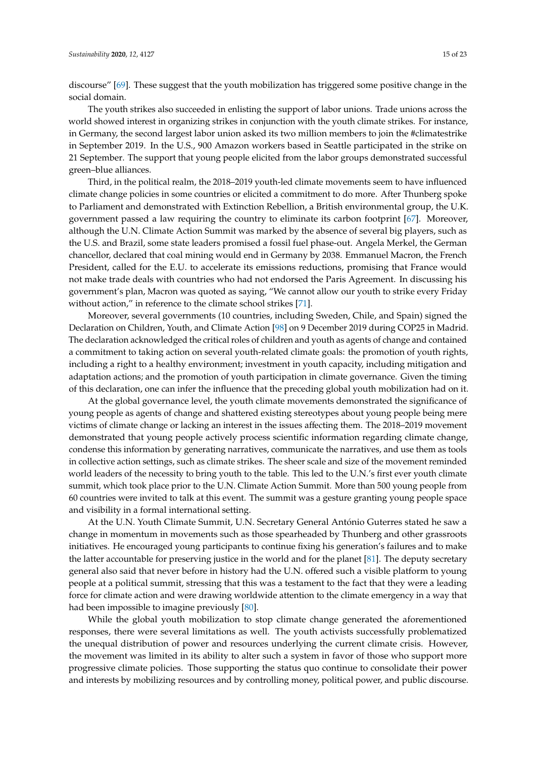discourse" [\[69\]](#page-20-7). These suggest that the youth mobilization has triggered some positive change in the social domain.

The youth strikes also succeeded in enlisting the support of labor unions. Trade unions across the world showed interest in organizing strikes in conjunction with the youth climate strikes. For instance, in Germany, the second largest labor union asked its two million members to join the #climatestrike in September 2019. In the U.S., 900 Amazon workers based in Seattle participated in the strike on 21 September. The support that young people elicited from the labor groups demonstrated successful green–blue alliances.

Third, in the political realm, the 2018–2019 youth-led climate movements seem to have influenced climate change policies in some countries or elicited a commitment to do more. After Thunberg spoke to Parliament and demonstrated with Extinction Rebellion, a British environmental group, the U.K. government passed a law requiring the country to eliminate its carbon footprint [\[67\]](#page-20-5). Moreover, although the U.N. Climate Action Summit was marked by the absence of several big players, such as the U.S. and Brazil, some state leaders promised a fossil fuel phase-out. Angela Merkel, the German chancellor, declared that coal mining would end in Germany by 2038. Emmanuel Macron, the French President, called for the E.U. to accelerate its emissions reductions, promising that France would not make trade deals with countries who had not endorsed the Paris Agreement. In discussing his government's plan, Macron was quoted as saying, "We cannot allow our youth to strike every Friday without action," in reference to the climate school strikes [\[71\]](#page-20-9).

Moreover, several governments (10 countries, including Sweden, Chile, and Spain) signed the Declaration on Children, Youth, and Climate Action [\[98\]](#page-21-14) on 9 December 2019 during COP25 in Madrid. The declaration acknowledged the critical roles of children and youth as agents of change and contained a commitment to taking action on several youth-related climate goals: the promotion of youth rights, including a right to a healthy environment; investment in youth capacity, including mitigation and adaptation actions; and the promotion of youth participation in climate governance. Given the timing of this declaration, one can infer the influence that the preceding global youth mobilization had on it.

At the global governance level, the youth climate movements demonstrated the significance of young people as agents of change and shattered existing stereotypes about young people being mere victims of climate change or lacking an interest in the issues affecting them. The 2018–2019 movement demonstrated that young people actively process scientific information regarding climate change, condense this information by generating narratives, communicate the narratives, and use them as tools in collective action settings, such as climate strikes. The sheer scale and size of the movement reminded world leaders of the necessity to bring youth to the table. This led to the U.N.'s first ever youth climate summit, which took place prior to the U.N. Climate Action Summit. More than 500 young people from 60 countries were invited to talk at this event. The summit was a gesture granting young people space and visibility in a formal international setting.

At the U.N. Youth Climate Summit, U.N. Secretary General António Guterres stated he saw a change in momentum in movements such as those spearheaded by Thunberg and other grassroots initiatives. He encouraged young participants to continue fixing his generation's failures and to make the latter accountable for preserving justice in the world and for the planet [\[81\]](#page-20-19). The deputy secretary general also said that never before in history had the U.N. offered such a visible platform to young people at a political summit, stressing that this was a testament to the fact that they were a leading force for climate action and were drawing worldwide attention to the climate emergency in a way that had been impossible to imagine previously [\[80\]](#page-20-18).

While the global youth mobilization to stop climate change generated the aforementioned responses, there were several limitations as well. The youth activists successfully problematized the unequal distribution of power and resources underlying the current climate crisis. However, the movement was limited in its ability to alter such a system in favor of those who support more progressive climate policies. Those supporting the status quo continue to consolidate their power and interests by mobilizing resources and by controlling money, political power, and public discourse.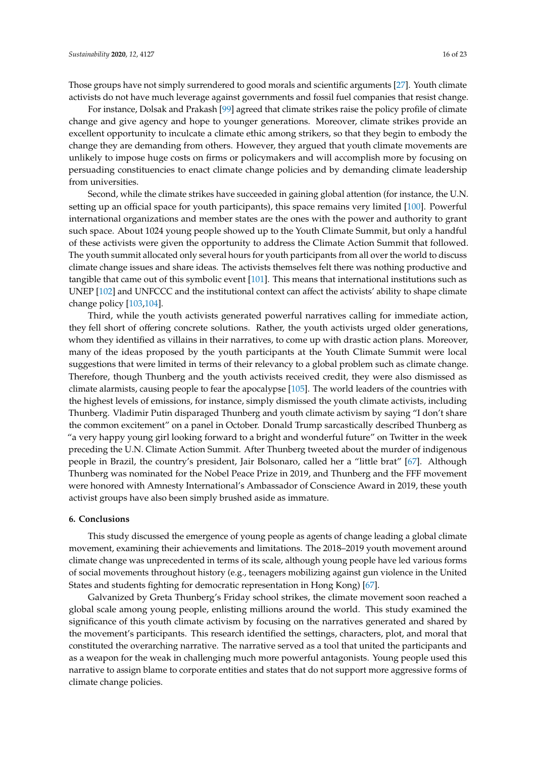Those groups have not simply surrendered to good morals and scientific arguments [\[27\]](#page-18-15). Youth climate activists do not have much leverage against governments and fossil fuel companies that resist change.

For instance, Dolsak and Prakash [\[99\]](#page-21-15) agreed that climate strikes raise the policy profile of climate change and give agency and hope to younger generations. Moreover, climate strikes provide an excellent opportunity to inculcate a climate ethic among strikers, so that they begin to embody the change they are demanding from others. However, they argued that youth climate movements are unlikely to impose huge costs on firms or policymakers and will accomplish more by focusing on persuading constituencies to enact climate change policies and by demanding climate leadership from universities.

Second, while the climate strikes have succeeded in gaining global attention (for instance, the U.N. setting up an official space for youth participants), this space remains very limited [\[100\]](#page-21-16). Powerful international organizations and member states are the ones with the power and authority to grant such space. About 1024 young people showed up to the Youth Climate Summit, but only a handful of these activists were given the opportunity to address the Climate Action Summit that followed. The youth summit allocated only several hours for youth participants from all over the world to discuss climate change issues and share ideas. The activists themselves felt there was nothing productive and tangible that came out of this symbolic event [\[101\]](#page-21-17). This means that international institutions such as UNEP [\[102\]](#page-22-0) and UNFCCC and the institutional context can affect the activists' ability to shape climate change policy [\[103](#page-22-1)[,104\]](#page-22-2).

Third, while the youth activists generated powerful narratives calling for immediate action, they fell short of offering concrete solutions. Rather, the youth activists urged older generations, whom they identified as villains in their narratives, to come up with drastic action plans. Moreover, many of the ideas proposed by the youth participants at the Youth Climate Summit were local suggestions that were limited in terms of their relevancy to a global problem such as climate change. Therefore, though Thunberg and the youth activists received credit, they were also dismissed as climate alarmists, causing people to fear the apocalypse [\[105\]](#page-22-3). The world leaders of the countries with the highest levels of emissions, for instance, simply dismissed the youth climate activists, including Thunberg. Vladimir Putin disparaged Thunberg and youth climate activism by saying "I don't share the common excitement" on a panel in October. Donald Trump sarcastically described Thunberg as "a very happy young girl looking forward to a bright and wonderful future" on Twitter in the week preceding the U.N. Climate Action Summit. After Thunberg tweeted about the murder of indigenous people in Brazil, the country's president, Jair Bolsonaro, called her a "little brat" [\[67\]](#page-20-5). Although Thunberg was nominated for the Nobel Peace Prize in 2019, and Thunberg and the FFF movement were honored with Amnesty International's Ambassador of Conscience Award in 2019, these youth activist groups have also been simply brushed aside as immature.

#### **6. Conclusions**

This study discussed the emergence of young people as agents of change leading a global climate movement, examining their achievements and limitations. The 2018–2019 youth movement around climate change was unprecedented in terms of its scale, although young people have led various forms of social movements throughout history (e.g., teenagers mobilizing against gun violence in the United States and students fighting for democratic representation in Hong Kong) [\[67\]](#page-20-5).

Galvanized by Greta Thunberg's Friday school strikes, the climate movement soon reached a global scale among young people, enlisting millions around the world. This study examined the significance of this youth climate activism by focusing on the narratives generated and shared by the movement's participants. This research identified the settings, characters, plot, and moral that constituted the overarching narrative. The narrative served as a tool that united the participants and as a weapon for the weak in challenging much more powerful antagonists. Young people used this narrative to assign blame to corporate entities and states that do not support more aggressive forms of climate change policies.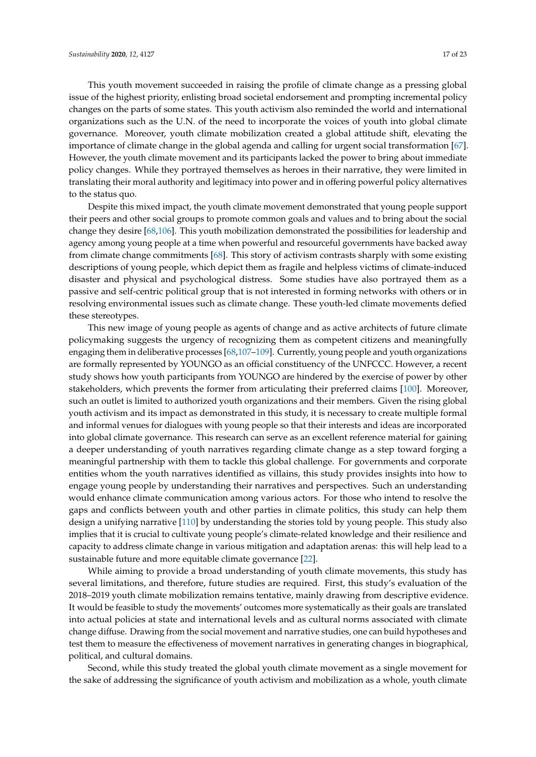This youth movement succeeded in raising the profile of climate change as a pressing global issue of the highest priority, enlisting broad societal endorsement and prompting incremental policy changes on the parts of some states. This youth activism also reminded the world and international organizations such as the U.N. of the need to incorporate the voices of youth into global climate governance. Moreover, youth climate mobilization created a global attitude shift, elevating the importance of climate change in the global agenda and calling for urgent social transformation [\[67\]](#page-20-5). However, the youth climate movement and its participants lacked the power to bring about immediate policy changes. While they portrayed themselves as heroes in their narrative, they were limited in translating their moral authority and legitimacy into power and in offering powerful policy alternatives to the status quo.

Despite this mixed impact, the youth climate movement demonstrated that young people support their peers and other social groups to promote common goals and values and to bring about the social change they desire [\[68,](#page-20-6)[106\]](#page-22-4). This youth mobilization demonstrated the possibilities for leadership and agency among young people at a time when powerful and resourceful governments have backed away from climate change commitments [\[68\]](#page-20-6). This story of activism contrasts sharply with some existing descriptions of young people, which depict them as fragile and helpless victims of climate-induced disaster and physical and psychological distress. Some studies have also portrayed them as a passive and self-centric political group that is not interested in forming networks with others or in resolving environmental issues such as climate change. These youth-led climate movements defied these stereotypes.

This new image of young people as agents of change and as active architects of future climate policymaking suggests the urgency of recognizing them as competent citizens and meaningfully engaging them in deliberative processes [\[68](#page-20-6)[,107](#page-22-5)[–109\]](#page-22-6). Currently, young people and youth organizations are formally represented by YOUNGO as an official constituency of the UNFCCC. However, a recent study shows how youth participants from YOUNGO are hindered by the exercise of power by other stakeholders, which prevents the former from articulating their preferred claims [\[100\]](#page-21-16). Moreover, such an outlet is limited to authorized youth organizations and their members. Given the rising global youth activism and its impact as demonstrated in this study, it is necessary to create multiple formal and informal venues for dialogues with young people so that their interests and ideas are incorporated into global climate governance. This research can serve as an excellent reference material for gaining a deeper understanding of youth narratives regarding climate change as a step toward forging a meaningful partnership with them to tackle this global challenge. For governments and corporate entities whom the youth narratives identified as villains, this study provides insights into how to engage young people by understanding their narratives and perspectives. Such an understanding would enhance climate communication among various actors. For those who intend to resolve the gaps and conflicts between youth and other parties in climate politics, this study can help them design a unifying narrative [\[110\]](#page-22-7) by understanding the stories told by young people. This study also implies that it is crucial to cultivate young people's climate-related knowledge and their resilience and capacity to address climate change in various mitigation and adaptation arenas: this will help lead to a sustainable future and more equitable climate governance [\[22\]](#page-18-10).

While aiming to provide a broad understanding of youth climate movements, this study has several limitations, and therefore, future studies are required. First, this study's evaluation of the 2018–2019 youth climate mobilization remains tentative, mainly drawing from descriptive evidence. It would be feasible to study the movements' outcomes more systematically as their goals are translated into actual policies at state and international levels and as cultural norms associated with climate change diffuse. Drawing from the social movement and narrative studies, one can build hypotheses and test them to measure the effectiveness of movement narratives in generating changes in biographical, political, and cultural domains.

Second, while this study treated the global youth climate movement as a single movement for the sake of addressing the significance of youth activism and mobilization as a whole, youth climate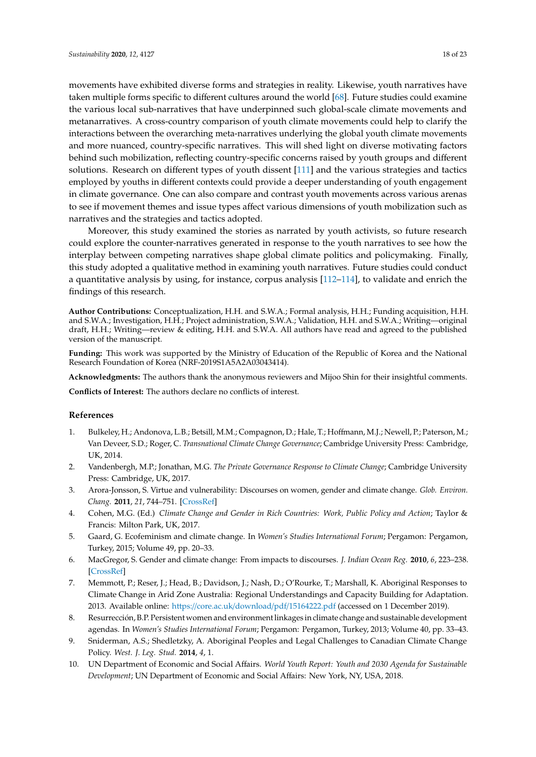movements have exhibited diverse forms and strategies in reality. Likewise, youth narratives have taken multiple forms specific to different cultures around the world [\[68\]](#page-20-6). Future studies could examine the various local sub-narratives that have underpinned such global-scale climate movements and metanarratives. A cross-country comparison of youth climate movements could help to clarify the interactions between the overarching meta-narratives underlying the global youth climate movements and more nuanced, country-specific narratives. This will shed light on diverse motivating factors behind such mobilization, reflecting country-specific concerns raised by youth groups and different solutions. Research on different types of youth dissent [\[111\]](#page-22-8) and the various strategies and tactics employed by youths in different contexts could provide a deeper understanding of youth engagement in climate governance. One can also compare and contrast youth movements across various arenas to see if movement themes and issue types affect various dimensions of youth mobilization such as narratives and the strategies and tactics adopted.

Moreover, this study examined the stories as narrated by youth activists, so future research could explore the counter-narratives generated in response to the youth narratives to see how the interplay between competing narratives shape global climate politics and policymaking. Finally, this study adopted a qualitative method in examining youth narratives. Future studies could conduct a quantitative analysis by using, for instance, corpus analysis [\[112](#page-22-9)[–114\]](#page-22-10), to validate and enrich the findings of this research.

**Author Contributions:** Conceptualization, H.H. and S.W.A.; Formal analysis, H.H.; Funding acquisition, H.H. and S.W.A.; Investigation, H.H.; Project administration, S.W.A.; Validation, H.H. and S.W.A.; Writing—original draft, H.H.; Writing—review & editing, H.H. and S.W.A. All authors have read and agreed to the published version of the manuscript.

**Funding:** This work was supported by the Ministry of Education of the Republic of Korea and the National Research Foundation of Korea (NRF-2019S1A5A2A03043414).

**Acknowledgments:** The authors thank the anonymous reviewers and Mijoo Shin for their insightful comments.

**Conflicts of Interest:** The authors declare no conflicts of interest.

#### **References**

- <span id="page-17-0"></span>1. Bulkeley, H.; Andonova, L.B.; Betsill, M.M.; Compagnon, D.; Hale, T.; Hoffmann, M.J.; Newell, P.; Paterson, M.; Van Deveer, S.D.; Roger, C. *Transnational Climate Change Governance*; Cambridge University Press: Cambridge, UK, 2014.
- <span id="page-17-1"></span>2. Vandenbergh, M.P.; Jonathan, M.G. *The Private Governance Response to Climate Change*; Cambridge University Press: Cambridge, UK, 2017.
- <span id="page-17-2"></span>3. Arora-Jonsson, S. Virtue and vulnerability: Discourses on women, gender and climate change. *Glob. Environ. Chang.* **2011**, *21*, 744–751. [\[CrossRef\]](http://dx.doi.org/10.1016/j.gloenvcha.2011.01.005)
- 4. Cohen, M.G. (Ed.) *Climate Change and Gender in Rich Countries: Work, Public Policy and Action*; Taylor & Francis: Milton Park, UK, 2017.
- 5. Gaard, G. Ecofeminism and climate change. In *Women's Studies International Forum*; Pergamon: Pergamon, Turkey, 2015; Volume 49, pp. 20–33.
- 6. MacGregor, S. Gender and climate change: From impacts to discourses. *J. Indian Ocean Reg.* **2010**, *6*, 223–238. [\[CrossRef\]](http://dx.doi.org/10.1080/19480881.2010.536669)
- 7. Memmott, P.; Reser, J.; Head, B.; Davidson, J.; Nash, D.; O'Rourke, T.; Marshall, K. Aboriginal Responses to Climate Change in Arid Zone Australia: Regional Understandings and Capacity Building for Adaptation. 2013. Available online: https://core.ac.uk/download/pdf/[15164222.pdf](https://core.ac.uk/download/pdf/15164222.pdf) (accessed on 1 December 2019).
- 8. Resurrección, B.P. Persistent women and environment linkages in climate change and sustainable development agendas. In *Women's Studies International Forum*; Pergamon: Pergamon, Turkey, 2013; Volume 40, pp. 33–43.
- <span id="page-17-3"></span>9. Sniderman, A.S.; Shedletzky, A. Aboriginal Peoples and Legal Challenges to Canadian Climate Change Policy. *West. J. Leg. Stud.* **2014**, *4*, 1.
- <span id="page-17-4"></span>10. UN Department of Economic and Social Affairs. *World Youth Report: Youth and 2030 Agenda for Sustainable Development*; UN Department of Economic and Social Affairs: New York, NY, USA, 2018.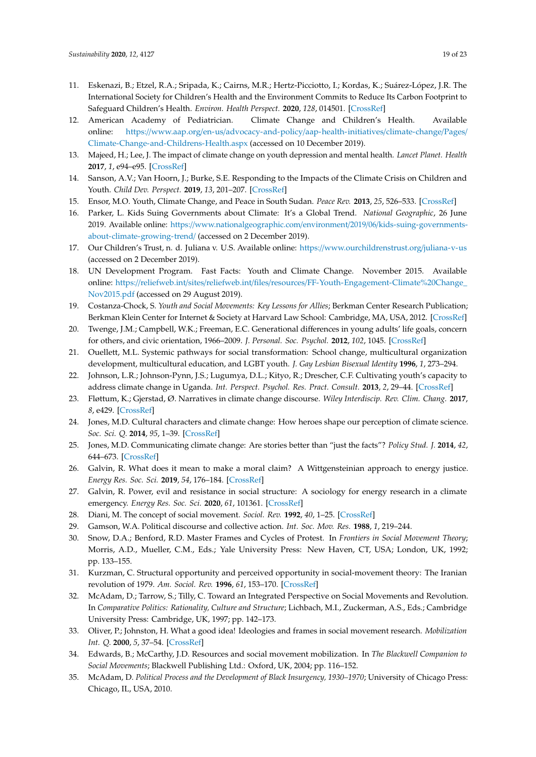- <span id="page-18-0"></span>11. Eskenazi, B.; Etzel, R.A.; Sripada, K.; Cairns, M.R.; Hertz-Picciotto, I.; Kordas, K.; Suárez-López, J.R. The International Society for Children's Health and the Environment Commits to Reduce Its Carbon Footprint to Safeguard Children's Health. *Environ. Health Perspect.* **2020**, *128*, 014501. [\[CrossRef\]](http://dx.doi.org/10.1289/EHP6578)
- <span id="page-18-1"></span>12. American Academy of Pediatrician. Climate Change and Children's Health. Available online: https://www.aap.org/en-us/advocacy-and-policy/[aap-health-initiatives](https://www.aap.org/en-us/advocacy-and-policy/aap-health-initiatives/climate-change/Pages/Climate-Change-and-Childrens-Health.aspx)/climate-change/Pages/ [Climate-Change-and-Childrens-Health.aspx](https://www.aap.org/en-us/advocacy-and-policy/aap-health-initiatives/climate-change/Pages/Climate-Change-and-Childrens-Health.aspx) (accessed on 10 December 2019).
- 13. Majeed, H.; Lee, J. The impact of climate change on youth depression and mental health. *Lancet Planet. Health* **2017**, *1*, e94–e95. [\[CrossRef\]](http://dx.doi.org/10.1016/S2542-5196(17)30045-1)
- <span id="page-18-2"></span>14. Sanson, A.V.; Van Hoorn, J.; Burke, S.E. Responding to the Impacts of the Climate Crisis on Children and Youth. *Child Dev. Perspect.* **2019**, *13*, 201–207. [\[CrossRef\]](http://dx.doi.org/10.1111/cdep.12342)
- <span id="page-18-3"></span>15. Ensor, M.O. Youth, Climate Change, and Peace in South Sudan. *Peace Rev.* **2013**, *25*, 526–533. [\[CrossRef\]](http://dx.doi.org/10.1080/10402659.2013.846170)
- <span id="page-18-4"></span>16. Parker, L. Kids Suing Governments about Climate: It's a Global Trend. *National Geographic*, 26 June 2019. Available online: https://[www.nationalgeographic.com](https://www.nationalgeographic.com/environment/2019/06/kids-suing-governments-about-climate-growing-trend/)/environment/2019/06/kids-suing-governments[about-climate-growing-trend](https://www.nationalgeographic.com/environment/2019/06/kids-suing-governments-about-climate-growing-trend/)/ (accessed on 2 December 2019).
- <span id="page-18-5"></span>17. Our Children's Trust, n. d. Juliana v. U.S. Available online: https://[www.ourchildrenstrust.org](https://www.ourchildrenstrust.org/juliana-v-us)/juliana-v-us (accessed on 2 December 2019).
- <span id="page-18-6"></span>18. UN Development Program. Fast Facts: Youth and Climate Change. November 2015. Available online: https://reliefweb.int/sites/reliefweb.int/files/resources/[FF-Youth-Engagement-Climate%20Change\\_](https://reliefweb.int/sites/reliefweb.int/files/resources/FF-Youth-Engagement-Climate%20Change_Nov2015.pdf) [Nov2015.pdf](https://reliefweb.int/sites/reliefweb.int/files/resources/FF-Youth-Engagement-Climate%20Change_Nov2015.pdf) (accessed on 29 August 2019).
- <span id="page-18-7"></span>19. Costanza-Chock, S. *Youth and Social Movements: Key Lessons for Allies*; Berkman Center Research Publication; Berkman Klein Center for Internet & Society at Harvard Law School: Cambridge, MA, USA, 2012. [\[CrossRef\]](http://dx.doi.org/10.2139/ssrn.2199531)
- <span id="page-18-8"></span>20. Twenge, J.M.; Campbell, W.K.; Freeman, E.C. Generational differences in young adults' life goals, concern for others, and civic orientation, 1966–2009. *J. Personal. Soc. Psychol.* **2012**, *102*, 1045. [\[CrossRef\]](http://dx.doi.org/10.1037/a0027408)
- <span id="page-18-9"></span>21. Ouellett, M.L. Systemic pathways for social transformation: School change, multicultural organization development, multicultural education, and LGBT youth. *J. Gay Lesbian Bisexual Identity* **1996**, *1*, 273–294.
- <span id="page-18-10"></span>22. Johnson, L.R.; Johnson-Pynn, J.S.; Lugumya, D.L.; Kityo, R.; Drescher, C.F. Cultivating youth's capacity to address climate change in Uganda. *Int. Perspect. Psychol. Res. Pract. Consult.* **2013**, *2*, 29–44. [\[CrossRef\]](http://dx.doi.org/10.1037/a0031053)
- <span id="page-18-11"></span>23. Fløttum, K.; Gjerstad, Ø. Narratives in climate change discourse. *Wiley Interdiscip. Rev. Clim. Chang.* **2017**, *8*, e429. [\[CrossRef\]](http://dx.doi.org/10.1002/wcc.429)
- <span id="page-18-12"></span>24. Jones, M.D. Cultural characters and climate change: How heroes shape our perception of climate science. *Soc. Sci. Q.* **2014**, *95*, 1–39. [\[CrossRef\]](http://dx.doi.org/10.1111/ssqu.12043)
- <span id="page-18-13"></span>25. Jones, M.D. Communicating climate change: Are stories better than "just the facts"? *Policy Stud. J.* **2014**, *42*, 644–673. [\[CrossRef\]](http://dx.doi.org/10.1111/psj.12072)
- <span id="page-18-14"></span>26. Galvin, R. What does it mean to make a moral claim? A Wittgensteinian approach to energy justice. *Energy Res. Soc. Sci.* **2019**, *54*, 176–184. [\[CrossRef\]](http://dx.doi.org/10.1016/j.erss.2019.04.018)
- <span id="page-18-15"></span>27. Galvin, R. Power, evil and resistance in social structure: A sociology for energy research in a climate emergency. *Energy Res. Soc. Sci.* **2020**, *61*, 101361. [\[CrossRef\]](http://dx.doi.org/10.1016/j.erss.2019.101361)
- <span id="page-18-16"></span>28. Diani, M. The concept of social movement. *Sociol. Rev.* **1992**, *40*, 1–25. [\[CrossRef\]](http://dx.doi.org/10.1111/j.1467-954X.1992.tb02943.x)
- <span id="page-18-17"></span>29. Gamson, W.A. Political discourse and collective action. *Int. Soc. Mov. Res.* **1988**, *1*, 219–244.
- 30. Snow, D.A.; Benford, R.D. Master Frames and Cycles of Protest. In *Frontiers in Social Movement Theory*; Morris, A.D., Mueller, C.M., Eds.; Yale University Press: New Haven, CT, USA; London, UK, 1992; pp. 133–155.
- 31. Kurzman, C. Structural opportunity and perceived opportunity in social-movement theory: The Iranian revolution of 1979. *Am. Sociol. Rev.* **1996**, *61*, 153–170. [\[CrossRef\]](http://dx.doi.org/10.2307/2096411)
- 32. McAdam, D.; Tarrow, S.; Tilly, C. Toward an Integrated Perspective on Social Movements and Revolution. In *Comparative Politics: Rationality, Culture and Structure*; Lichbach, M.I., Zuckerman, A.S., Eds.; Cambridge University Press: Cambridge, UK, 1997; pp. 142–173.
- 33. Oliver, P.; Johnston, H. What a good idea! Ideologies and frames in social movement research. *Mobilization Int. Q.* **2000**, *5*, 37–54. [\[CrossRef\]](http://dx.doi.org/10.17813/maiq.5.1.g54k222086346251)
- 34. Edwards, B.; McCarthy, J.D. Resources and social movement mobilization. In *The Blackwell Companion to Social Movements*; Blackwell Publishing Ltd.: Oxford, UK, 2004; pp. 116–152.
- 35. McAdam, D. *Political Process and the Development of Black Insurgency, 1930–1970*; University of Chicago Press: Chicago, IL, USA, 2010.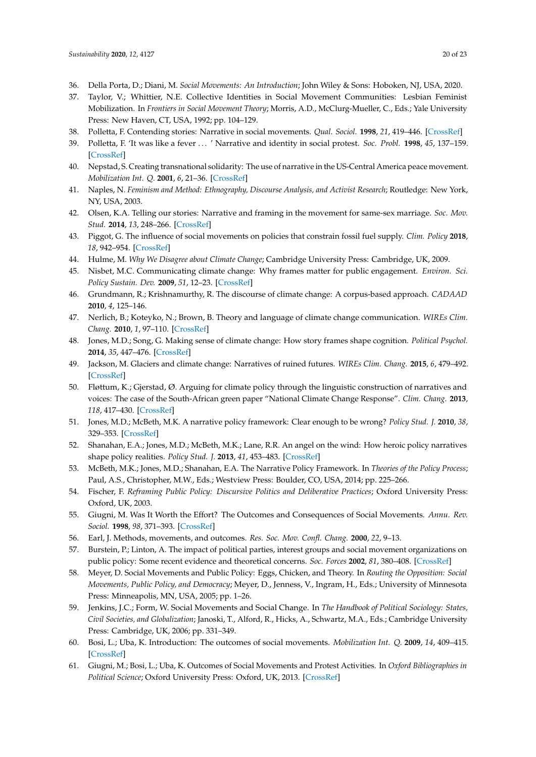- <span id="page-19-0"></span>36. Della Porta, D.; Diani, M. *Social Movements: An Introduction*; John Wiley & Sons: Hoboken, NJ, USA, 2020.
- <span id="page-19-1"></span>37. Taylor, V.; Whittier, N.E. Collective Identities in Social Movement Communities: Lesbian Feminist Mobilization. In *Frontiers in Social Movement Theory*; Morris, A.D., McClurg-Mueller, C., Eds.; Yale University Press: New Haven, CT, USA, 1992; pp. 104–129.
- <span id="page-19-4"></span>38. Polletta, F. Contending stories: Narrative in social movements. *Qual. Sociol.* **1998**, *21*, 419–446. [\[CrossRef\]](http://dx.doi.org/10.1023/A:1023332410633)
- 39. Polletta, F. 'It was like a fever . . . ' Narrative and identity in social protest. *Soc. Probl.* **1998**, *45*, 137–159. [\[CrossRef\]](http://dx.doi.org/10.2307/3097241)
- 40. Nepstad, S. Creating transnational solidarity: The use of narrative in the US-Central America peace movement. *Mobilization Int. Q.* **2001**, *6*, 21–36. [\[CrossRef\]](http://dx.doi.org/10.17813/maiq.6.1.8606h50k7135180h)
- 41. Naples, N. *Feminism and Method: Ethnography, Discourse Analysis, and Activist Research*; Routledge: New York, NY, USA, 2003.
- <span id="page-19-2"></span>42. Olsen, K.A. Telling our stories: Narrative and framing in the movement for same-sex marriage. *Soc. Mov. Stud.* **2014**, *13*, 248–266. [\[CrossRef\]](http://dx.doi.org/10.1080/14742837.2013.842464)
- <span id="page-19-3"></span>43. Piggot, G. The influence of social movements on policies that constrain fossil fuel supply. *Clim. Policy* **2018**, *18*, 942–954. [\[CrossRef\]](http://dx.doi.org/10.1080/14693062.2017.1394255)
- <span id="page-19-5"></span>44. Hulme, M. *Why We Disagree about Climate Change*; Cambridge University Press: Cambridge, UK, 2009.
- 45. Nisbet, M.C. Communicating climate change: Why frames matter for public engagement. *Environ. Sci. Policy Sustain. Dev.* **2009**, *51*, 12–23. [\[CrossRef\]](http://dx.doi.org/10.3200/ENVT.51.2.12-23)
- 46. Grundmann, R.; Krishnamurthy, R. The discourse of climate change: A corpus-based approach. *CADAAD* **2010**, *4*, 125–146.
- 47. Nerlich, B.; Koteyko, N.; Brown, B. Theory and language of climate change communication. *WIREs Clim. Chang.* **2010**, *1*, 97–110. [\[CrossRef\]](http://dx.doi.org/10.1002/wcc.2)
- <span id="page-19-12"></span>48. Jones, M.D.; Song, G. Making sense of climate change: How story frames shape cognition. *Political Psychol.* **2014**, *35*, 447–476. [\[CrossRef\]](http://dx.doi.org/10.1111/pops.12057)
- 49. Jackson, M. Glaciers and climate change: Narratives of ruined futures. *WIREs Clim. Chang.* **2015**, *6*, 479–492. [\[CrossRef\]](http://dx.doi.org/10.1002/wcc.351)
- <span id="page-19-6"></span>50. Fløttum, K.; Gjerstad, Ø. Arguing for climate policy through the linguistic construction of narratives and voices: The case of the South-African green paper "National Climate Change Response". *Clim. Chang.* **2013**, *118*, 417–430. [\[CrossRef\]](http://dx.doi.org/10.1007/s10584-012-0654-7)
- <span id="page-19-7"></span>51. Jones, M.D.; McBeth, M.K. A narrative policy framework: Clear enough to be wrong? *Policy Stud. J.* **2010**, *38*, 329–353. [\[CrossRef\]](http://dx.doi.org/10.1111/j.1541-0072.2010.00364.x)
- 52. Shanahan, E.A.; Jones, M.D.; McBeth, M.K.; Lane, R.R. An angel on the wind: How heroic policy narratives shape policy realities. *Policy Stud. J.* **2013**, *41*, 453–483. [\[CrossRef\]](http://dx.doi.org/10.1111/psj.12025)
- <span id="page-19-8"></span>53. McBeth, M.K.; Jones, M.D.; Shanahan, E.A. The Narrative Policy Framework. In *Theories of the Policy Process*; Paul, A.S., Christopher, M.W., Eds.; Westview Press: Boulder, CO, USA, 2014; pp. 225–266.
- <span id="page-19-9"></span>54. Fischer, F. *Reframing Public Policy: Discursive Politics and Deliberative Practices*; Oxford University Press: Oxford, UK, 2003.
- <span id="page-19-10"></span>55. Giugni, M. Was It Worth the Effort? The Outcomes and Consequences of Social Movements. *Annu. Rev. Sociol.* **1998**, *98*, 371–393. [\[CrossRef\]](http://dx.doi.org/10.1146/annurev.soc.24.1.371)
- 56. Earl, J. Methods, movements, and outcomes. *Res. Soc. Mov. Confl. Chang.* **2000**, *22*, 9–13.
- 57. Burstein, P.; Linton, A. The impact of political parties, interest groups and social movement organizations on public policy: Some recent evidence and theoretical concerns. *Soc. Forces* **2002**, *81*, 380–408. [\[CrossRef\]](http://dx.doi.org/10.1353/sof.2003.0004)
- 58. Meyer, D. Social Movements and Public Policy: Eggs, Chicken, and Theory. In *Routing the Opposition: Social Movements, Public Policy, and Democracy*; Meyer, D., Jenness, V., Ingram, H., Eds.; University of Minnesota Press: Minneapolis, MN, USA, 2005; pp. 1–26.
- 59. Jenkins, J.C.; Form, W. Social Movements and Social Change. In *The Handbook of Political Sociology: States, Civil Societies, and Globalization*; Janoski, T., Alford, R., Hicks, A., Schwartz, M.A., Eds.; Cambridge University Press: Cambridge, UK, 2006; pp. 331–349.
- 60. Bosi, L.; Uba, K. Introduction: The outcomes of social movements. *Mobilization Int. Q.* **2009**, *14*, 409–415. [\[CrossRef\]](http://dx.doi.org/10.17813/maiq.14.4.m1408k812244744h)
- <span id="page-19-11"></span>61. Giugni, M.; Bosi, L.; Uba, K. Outcomes of Social Movements and Protest Activities. In *Oxford Bibliographies in Political Science*; Oxford University Press: Oxford, UK, 2013. [\[CrossRef\]](http://dx.doi.org/10.1093/OBO/9780199756223-0037)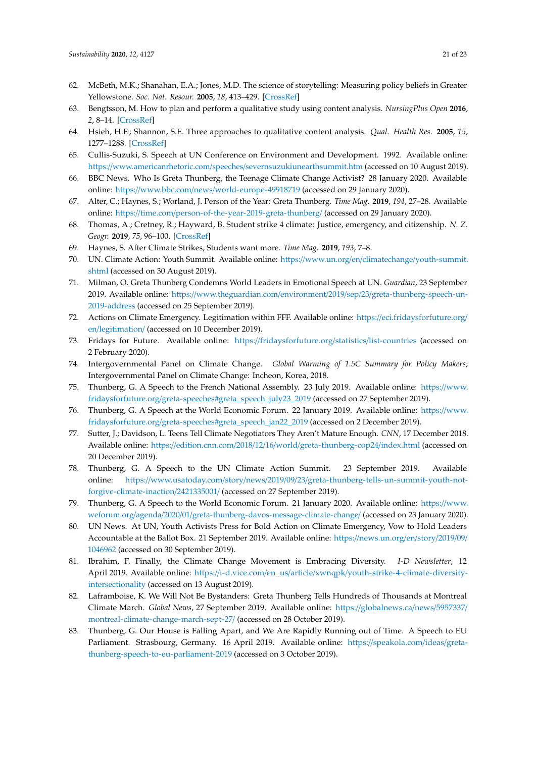- <span id="page-20-0"></span>62. McBeth, M.K.; Shanahan, E.A.; Jones, M.D. The science of storytelling: Measuring policy beliefs in Greater Yellowstone. *Soc. Nat. Resour.* **2005**, *18*, 413–429. [\[CrossRef\]](http://dx.doi.org/10.1080/08941920590924765)
- <span id="page-20-11"></span><span id="page-20-1"></span>63. Bengtsson, M. How to plan and perform a qualitative study using content analysis. *NursingPlus Open* **2016**, *2*, 8–14. [\[CrossRef\]](http://dx.doi.org/10.1016/j.npls.2016.01.001)
- <span id="page-20-2"></span>64. Hsieh, H.F.; Shannon, S.E. Three approaches to qualitative content analysis. *Qual. Health Res.* **2005**, *15*, 1277–1288. [\[CrossRef\]](http://dx.doi.org/10.1177/1049732305276687)
- <span id="page-20-3"></span>65. Cullis-Suzuki, S. Speech at UN Conference on Environment and Development. 1992. Available online: https://www.americanrhetoric.com/speeches/[severnsuzukiunearthsummit.htm](https://www.americanrhetoric.com/speeches/severnsuzukiunearthsummit.htm) (accessed on 10 August 2019).
- <span id="page-20-4"></span>66. BBC News. Who Is Greta Thunberg, the Teenage Climate Change Activist? 28 January 2020. Available online: https://www.bbc.com/news/[world-europe-49918719](https://www.bbc.com/news/world-europe-49918719) (accessed on 29 January 2020).
- <span id="page-20-5"></span>67. Alter, C.; Haynes, S.; Worland, J. Person of the Year: Greta Thunberg. *Time Mag.* **2019**, *194*, 27–28. Available online: https://time.com/[person-of-the-year-2019-greta-thunberg](https://time.com/person-of-the-year-2019-greta-thunberg/)/ (accessed on 29 January 2020).
- <span id="page-20-6"></span>68. Thomas, A.; Cretney, R.; Hayward, B. Student strike 4 climate: Justice, emergency, and citizenship. *N. Z. Geogr.* **2019**, *75*, 96–100. [\[CrossRef\]](http://dx.doi.org/10.1111/nzg.12229)
- <span id="page-20-7"></span>69. Haynes, S. After Climate Strikes, Students want more. *Time Mag.* **2019**, *193*, 7–8.
- <span id="page-20-8"></span>70. UN. Climate Action: Youth Summit. Available online: https://www.un.org/en/climatechange/[youth-summit.](https://www.un.org/en/climatechange/youth-summit.shtml) [shtml](https://www.un.org/en/climatechange/youth-summit.shtml) (accessed on 30 August 2019).
- <span id="page-20-9"></span>71. Milman, O. Greta Thunberg Condemns World Leaders in Emotional Speech at UN. *Guardian*, 23 September 2019. Available online: https://www.theguardian.com/environment/2019/sep/23/[greta-thunberg-speech-un-](https://www.theguardian.com/environment/2019/sep/23/greta-thunberg-speech-un-2019-address)[2019-address](https://www.theguardian.com/environment/2019/sep/23/greta-thunberg-speech-un-2019-address) (accessed on 25 September 2019).
- <span id="page-20-10"></span>72. Actions on Climate Emergency. Legitimation within FFF. Available online: https://[eci.fridaysforfuture.org](https://eci.fridaysforfuture.org/en/legitimation/)/ en/[legitimation](https://eci.fridaysforfuture.org/en/legitimation/)/ (accessed on 10 December 2019).
- 73. Fridays for Future. Available online: https://[fridaysforfuture.org](https://fridaysforfuture.org/statistics/list-countries)/statistics/list-countries (accessed on 2 February 2020).
- <span id="page-20-12"></span>74. Intergovernmental Panel on Climate Change. *Global Warming of 1.5C Summary for Policy Makers*; Intergovernmental Panel on Climate Change: Incheon, Korea, 2018.
- <span id="page-20-13"></span>75. Thunberg, G. A Speech to the French National Assembly. 23 July 2019. Available online: https://[www.](https://www.fridaysforfuture.org/greta-speeches#greta_speech_july23_2019) fridaysforfuture.org/[greta-speeches#greta\\_speech\\_july23\\_2019](https://www.fridaysforfuture.org/greta-speeches#greta_speech_july23_2019) (accessed on 27 September 2019).
- <span id="page-20-14"></span>76. Thunberg, G. A Speech at the World Economic Forum. 22 January 2019. Available online: https://[www.](https://www.fridaysforfuture.org/greta-speeches#greta_speech_jan22_2019) fridaysforfuture.org/[greta-speeches#greta\\_speech\\_jan22\\_2019](https://www.fridaysforfuture.org/greta-speeches#greta_speech_jan22_2019) (accessed on 2 December 2019).
- <span id="page-20-15"></span>77. Sutter, J.; Davidson, L. Teens Tell Climate Negotiators They Aren't Mature Enough. *CNN*, 17 December 2018. Available online: https://edition.cnn.com/2018/12/16/world/[greta-thunberg-cop24](https://edition.cnn.com/2018/12/16/world/greta-thunberg-cop24/index.html)/index.html (accessed on 20 December 2019).
- <span id="page-20-16"></span>78. Thunberg, G. A Speech to the UN Climate Action Summit. 23 September 2019. Available online: https://www.usatoday.com/story/news/2019/09/23/[greta-thunberg-tells-un-summit-youth-not](https://www.usatoday.com/story/news/2019/09/23/greta-thunberg-tells-un-summit-youth-not-forgive-climate-inaction/2421335001/)[forgive-climate-inaction](https://www.usatoday.com/story/news/2019/09/23/greta-thunberg-tells-un-summit-youth-not-forgive-climate-inaction/2421335001/)/2421335001/ (accessed on 27 September 2019).
- <span id="page-20-17"></span>79. Thunberg, G. A Speech to the World Economic Forum. 21 January 2020. Available online: https://[www.](https://www.weforum.org/agenda/2020/01/greta-thunberg-davos-message-climate-change/) weforum.org/agenda/2020/01/[greta-thunberg-davos-message-climate-change](https://www.weforum.org/agenda/2020/01/greta-thunberg-davos-message-climate-change/)/ (accessed on 23 January 2020).
- <span id="page-20-18"></span>80. UN News. At UN, Youth Activists Press for Bold Action on Climate Emergency, Vow to Hold Leaders Accountable at the Ballot Box. 21 September 2019. Available online: https://[news.un.org](https://news.un.org/en/story/2019/09/1046962)/en/story/2019/09/ [1046962](https://news.un.org/en/story/2019/09/1046962) (accessed on 30 September 2019).
- <span id="page-20-19"></span>81. Ibrahim, F. Finally, the Climate Change Movement is Embracing Diversity. *I-D Newsletter*, 12 April 2019. Available online: https://i-d.vice.com/en\_us/article/xwnqpk/[youth-strike-4-climate-diversity](https://i-d.vice.com/en_us/article/xwnqpk/youth-strike-4-climate-diversity-intersectionality)[intersectionality](https://i-d.vice.com/en_us/article/xwnqpk/youth-strike-4-climate-diversity-intersectionality) (accessed on 13 August 2019).
- <span id="page-20-20"></span>82. Laframboise, K. We Will Not Be Bystanders: Greta Thunberg Tells Hundreds of Thousands at Montreal Climate March. *Global News*, 27 September 2019. Available online: https://[globalnews.ca](https://globalnews.ca/news/5957337/montreal-climate-change-march-sept-27/)/news/5957337/ [montreal-climate-change-march-sept-27](https://globalnews.ca/news/5957337/montreal-climate-change-march-sept-27/)/ (accessed on 28 October 2019).
- <span id="page-20-21"></span>83. Thunberg, G. Our House is Falling Apart, and We Are Rapidly Running out of Time. A Speech to EU Parliament. Strasbourg, Germany. 16 April 2019. Available online: https://[speakola.com](https://speakola.com/ideas/greta-thunberg-speech-to-eu-parliament-2019)/ideas/greta[thunberg-speech-to-eu-parliament-2019](https://speakola.com/ideas/greta-thunberg-speech-to-eu-parliament-2019) (accessed on 3 October 2019).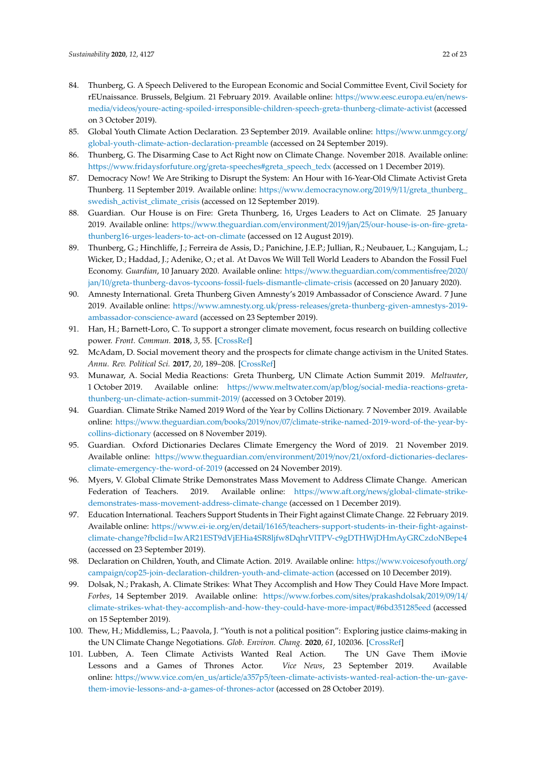- <span id="page-21-0"></span>84. Thunberg, G. A Speech Delivered to the European Economic and Social Committee Event, Civil Society for rEUnaissance. Brussels, Belgium. 21 February 2019. Available online: https://[www.eesc.europa.eu](https://www.eesc.europa.eu/en/news-media/videos/youre-acting-spoiled-irresponsible-children-speech-greta-thunberg-climate-activist)/en/newsmedia/videos/[youre-acting-spoiled-irresponsible-children-speech-greta-thunberg-climate-activist](https://www.eesc.europa.eu/en/news-media/videos/youre-acting-spoiled-irresponsible-children-speech-greta-thunberg-climate-activist) (accessed on 3 October 2019).
- <span id="page-21-1"></span>85. Global Youth Climate Action Declaration. 23 September 2019. Available online: https://[www.unmgcy.org](https://www.unmgcy.org/global-youth-climate-action-declaration-preamble)/ [global-youth-climate-action-declaration-preamble](https://www.unmgcy.org/global-youth-climate-action-declaration-preamble) (accessed on 24 September 2019).
- <span id="page-21-2"></span>86. Thunberg, G. The Disarming Case to Act Right now on Climate Change. November 2018. Available online: https://www.fridaysforfuture.org/[greta-speeches#greta\\_speech\\_tedx](https://www.fridaysforfuture.org/greta-speeches#greta_speech_tedx) (accessed on 1 December 2019).
- <span id="page-21-3"></span>87. Democracy Now! We Are Striking to Disrupt the System: An Hour with 16-Year-Old Climate Activist Greta Thunberg. 11 September 2019. Available online: https://[www.democracynow.org](https://www.democracynow.org/2019/9/11/greta_thunberg_swedish_activist_climate_crisis)/2019/9/11/greta\_thunberg\_ [swedish\\_activist\\_climate\\_crisis](https://www.democracynow.org/2019/9/11/greta_thunberg_swedish_activist_climate_crisis) (accessed on 12 September 2019).
- <span id="page-21-4"></span>88. Guardian. Our House is on Fire: Greta Thunberg, 16, Urges Leaders to Act on Climate. 25 January 2019. Available online: https://www.theguardian.com/environment/2019/jan/25/[our-house-is-on-fire-greta](https://www.theguardian.com/environment/2019/jan/25/our-house-is-on-fire-greta-thunberg16-urges-leaders-to-act-on-climate)[thunberg16-urges-leaders-to-act-on-climate](https://www.theguardian.com/environment/2019/jan/25/our-house-is-on-fire-greta-thunberg16-urges-leaders-to-act-on-climate) (accessed on 12 August 2019).
- <span id="page-21-5"></span>89. Thunberg, G.; Hinchliffe, J.; Ferreira de Assis, D.; Panichine, J.E.P.; Jullian, R.; Neubauer, L.; Kangujam, L.; Wicker, D.; Haddad, J.; Adenike, O.; et al. At Davos We Will Tell World Leaders to Abandon the Fossil Fuel Economy. *Guardian*, 10 January 2020. Available online: https://[www.theguardian.com](https://www.theguardian.com/commentisfree/2020/jan/10/greta-thunberg-davos-tycoons-fossil-fuels-dismantle-climate-crisis)/commentisfree/2020/ jan/10/[greta-thunberg-davos-tycoons-fossil-fuels-dismantle-climate-crisis](https://www.theguardian.com/commentisfree/2020/jan/10/greta-thunberg-davos-tycoons-fossil-fuels-dismantle-climate-crisis) (accessed on 20 January 2020).
- <span id="page-21-6"></span>90. Amnesty International. Greta Thunberg Given Amnesty's 2019 Ambassador of Conscience Award. 7 June 2019. Available online: https://www.amnesty.org.uk/press-releases/[greta-thunberg-given-amnestys-2019](https://www.amnesty.org.uk/press-releases/greta-thunberg-given-amnestys-2019-ambassador-conscience-award) [ambassador-conscience-award](https://www.amnesty.org.uk/press-releases/greta-thunberg-given-amnestys-2019-ambassador-conscience-award) (accessed on 23 September 2019).
- <span id="page-21-7"></span>91. Han, H.; Barnett-Loro, C. To support a stronger climate movement, focus research on building collective power. *Front. Commun.* **2018**, *3*, 55. [\[CrossRef\]](http://dx.doi.org/10.3389/fcomm.2018.00055)
- <span id="page-21-8"></span>92. McAdam, D. Social movement theory and the prospects for climate change activism in the United States. *Annu. Rev. Political Sci.* **2017**, *20*, 189–208. [\[CrossRef\]](http://dx.doi.org/10.1146/annurev-polisci-052615-025801)
- <span id="page-21-9"></span>93. Munawar, A. Social Media Reactions: Greta Thunberg, UN Climate Action Summit 2019. *Meltwater*, 1 October 2019. Available online: https://www.meltwater.com/ap/blog/[social-media-reactions-greta](https://www.meltwater.com/ap/blog/social-media-reactions-greta-thunberg-un-climate-action-summit-2019/)[thunberg-un-climate-action-summit-2019](https://www.meltwater.com/ap/blog/social-media-reactions-greta-thunberg-un-climate-action-summit-2019/)/ (accessed on 3 October 2019).
- <span id="page-21-10"></span>94. Guardian. Climate Strike Named 2019 Word of the Year by Collins Dictionary. 7 November 2019. Available online: https://www.theguardian.com/books/2019/nov/07/[climate-strike-named-2019-word-of-the-year-by](https://www.theguardian.com/books/2019/nov/07/climate-strike-named-2019-word-of-the-year-by-collins-dictionary)[collins-dictionary](https://www.theguardian.com/books/2019/nov/07/climate-strike-named-2019-word-of-the-year-by-collins-dictionary) (accessed on 8 November 2019).
- <span id="page-21-11"></span>95. Guardian. Oxford Dictionaries Declares Climate Emergency the Word of 2019. 21 November 2019. Available online: https://www.theguardian.com/environment/2019/nov/21/[oxford-dictionaries-declares](https://www.theguardian.com/environment/2019/nov/21/oxford-dictionaries-declares-climate-emergency-the-word-of-2019)[climate-emergency-the-word-of-2019](https://www.theguardian.com/environment/2019/nov/21/oxford-dictionaries-declares-climate-emergency-the-word-of-2019) (accessed on 24 November 2019).
- <span id="page-21-12"></span>96. Myers, V. Global Climate Strike Demonstrates Mass Movement to Address Climate Change. American Federation of Teachers. 2019. Available online: https://www.aft.org/news/[global-climate-strike](https://www.aft.org/news/global-climate-strike-demonstrates-mass-movement-address-climate-change)[demonstrates-mass-movement-address-climate-change](https://www.aft.org/news/global-climate-strike-demonstrates-mass-movement-address-climate-change) (accessed on 1 December 2019).
- <span id="page-21-13"></span>97. Education International. Teachers Support Students in Their Fight against Climate Change. 22 February 2019. Available online: https://www.ei-ie.org/en/detail/16165/[teachers-support-students-in-their-fight-against](https://www.ei-ie.org/en/detail/16165/teachers-support-students-in-their-fight-against-climate-change?fbclid=IwAR21EST9dVjEHia4SR8ljfw8DqhrVlTPV-c9gDTHWjDHmAyGRCzdoNBepe4)climate-change?fbclid=[IwAR21EST9dVjEHia4SR8ljfw8DqhrVlTPV-c9gDTHWjDHmAyGRCzdoNBepe4](https://www.ei-ie.org/en/detail/16165/teachers-support-students-in-their-fight-against-climate-change?fbclid=IwAR21EST9dVjEHia4SR8ljfw8DqhrVlTPV-c9gDTHWjDHmAyGRCzdoNBepe4) (accessed on 23 September 2019).
- <span id="page-21-14"></span>98. Declaration on Children, Youth, and Climate Action. 2019. Available online: https://[www.voicesofyouth.org](https://www.voicesofyouth.org/campaign/cop25-join-declaration-children-youth-and-climate-action)/ campaign/[cop25-join-declaration-children-youth-and-climate-action](https://www.voicesofyouth.org/campaign/cop25-join-declaration-children-youth-and-climate-action) (accessed on 10 December 2019).
- <span id="page-21-15"></span>99. Dolsak, N.; Prakash, A. Climate Strikes: What They Accomplish and How They Could Have More Impact. *Forbes*, 14 September 2019. Available online: https://[www.forbes.com](https://www.forbes.com/sites/prakashdolsak/2019/09/14/climate-strikes-what-they-accomplish-and-how-they-could-have-more-impact/#6bd351285eed)/sites/prakashdolsak/2019/09/14/ [climate-strikes-what-they-accomplish-and-how-they-could-have-more-impact](https://www.forbes.com/sites/prakashdolsak/2019/09/14/climate-strikes-what-they-accomplish-and-how-they-could-have-more-impact/#6bd351285eed)/#6bd351285eed (accessed on 15 September 2019).
- <span id="page-21-16"></span>100. Thew, H.; Middlemiss, L.; Paavola, J. "Youth is not a political position": Exploring justice claims-making in the UN Climate Change Negotiations. *Glob. Environ. Chang.* **2020**, *61*, 102036. [\[CrossRef\]](http://dx.doi.org/10.1016/j.gloenvcha.2020.102036)
- <span id="page-21-17"></span>101. Lubben, A. Teen Climate Activists Wanted Real Action. The UN Gave Them iMovie Lessons and a Games of Thrones Actor. *Vice News*, 23 September 2019. Available online: https://www.vice.com/en\_us/article/a357p5/[teen-climate-activists-wanted-real-action-the-un-gave](https://www.vice.com/en_us/article/a357p5/teen-climate-activists-wanted-real-action-the-un-gave-them-imovie-lessons-and-a-games-of-thrones-actor)[them-imovie-lessons-and-a-games-of-thrones-actor](https://www.vice.com/en_us/article/a357p5/teen-climate-activists-wanted-real-action-the-un-gave-them-imovie-lessons-and-a-games-of-thrones-actor) (accessed on 28 October 2019).